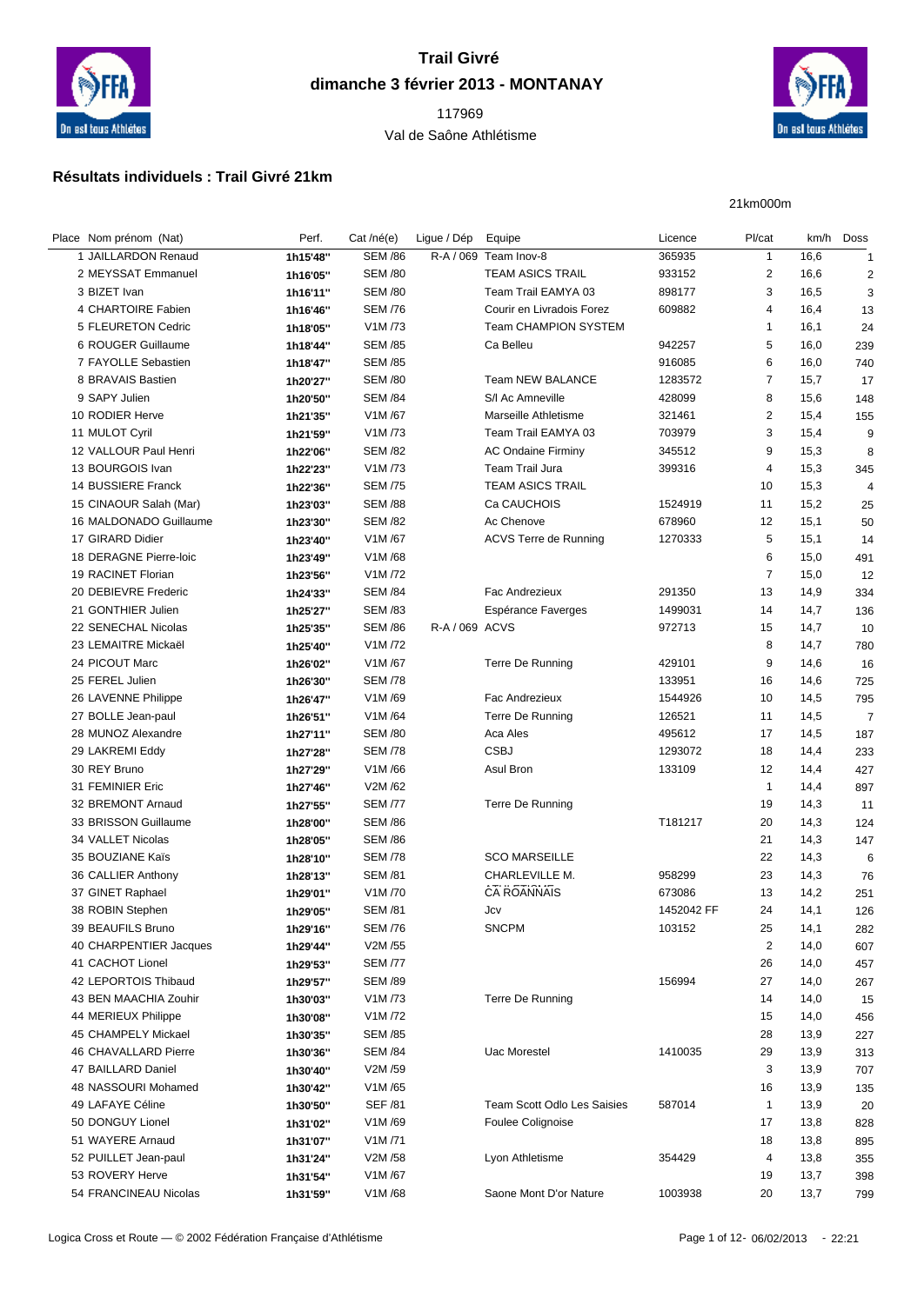

## **Trail Givré dimanche 3 février 2013 - MONTANAY**

## Val de Saône Athlétisme



## **Résultats individuels : Trail Givré 21km**

21km000m

| Place Nom prénom (Nat) | Perf.    | Cat /né(e)     | Ligue / Dép    | Equipe                             | Licence    | Pl/cat         |      | km/h Doss      |
|------------------------|----------|----------------|----------------|------------------------------------|------------|----------------|------|----------------|
| 1 JAILLARDON Renaud    | 1h15'48" | <b>SEM /86</b> |                | R-A / 069 Team Inov-8              | 365935     | $\mathbf{1}$   | 16,6 | 1              |
| 2 MEYSSAT Emmanuel     | 1h16'05" | <b>SEM /80</b> |                | <b>TEAM ASICS TRAIL</b>            | 933152     | $\overline{2}$ | 16,6 | 2              |
| 3 BIZET Ivan           | 1h16'11" | <b>SEM /80</b> |                | Team Trail EAMYA 03                | 898177     | 3              | 16,5 | 3              |
| 4 CHARTOIRE Fabien     | 1h16'46" | <b>SEM /76</b> |                | Courir en Livradois Forez          | 609882     | 4              | 16,4 | 13             |
| 5 FLEURETON Cedric     | 1h18'05" | V1M /73        |                | Team CHAMPION SYSTEM               |            | $\mathbf{1}$   | 16,1 | 24             |
| 6 ROUGER Guillaume     | 1h18'44" | <b>SEM /85</b> |                | Ca Belleu                          | 942257     | 5              | 16,0 | 239            |
| 7 FAYOLLE Sebastien    | 1h18'47" | <b>SEM /85</b> |                |                                    | 916085     | 6              | 16,0 | 740            |
| 8 BRAVAIS Bastien      | 1h20'27" | <b>SEM /80</b> |                | <b>Team NEW BALANCE</b>            | 1283572    | $\overline{7}$ | 15,7 | 17             |
| 9 SAPY Julien          | 1h20'50" | <b>SEM /84</b> |                | S/I Ac Amneville                   | 428099     | 8              | 15,6 | 148            |
| 10 RODIER Herve        | 1h21'35" | V1M/67         |                | Marseille Athletisme               | 321461     | $\overline{2}$ | 15,4 | 155            |
| 11 MULOT Cyril         | 1h21'59" | V1M/73         |                | Team Trail EAMYA 03                | 703979     | 3              | 15,4 | 9              |
| 12 VALLOUR Paul Henri  | 1h22'06" | <b>SEM /82</b> |                | <b>AC Ondaine Firminy</b>          | 345512     | 9              | 15,3 | 8              |
| 13 BOURGOIS Ivan       | 1h22'23" | V1M/73         |                | Team Trail Jura                    | 399316     | 4              | 15,3 | 345            |
| 14 BUSSIERE Franck     | 1h22'36" | <b>SEM /75</b> |                | <b>TEAM ASICS TRAIL</b>            |            | 10             | 15,3 | 4              |
| 15 CINAOUR Salah (Mar) | 1h23'03" | <b>SEM /88</b> |                | Ca CAUCHOIS                        | 1524919    | 11             | 15,2 | 25             |
| 16 MALDONADO Guillaume | 1h23'30" | <b>SEM /82</b> |                | Ac Chenove                         | 678960     | 12             | 15,1 | 50             |
| 17 GIRARD Didier       | 1h23'40" | V1M/67         |                | <b>ACVS Terre de Running</b>       | 1270333    | 5              | 15,1 | 14             |
| 18 DERAGNE Pierre-loic | 1h23'49" | V1M/68         |                |                                    |            | 6              | 15,0 | 491            |
| 19 RACINET Florian     | 1h23'56" | V1M/72         |                |                                    |            | $\overline{7}$ | 15,0 | 12             |
| 20 DEBIEVRE Frederic   | 1h24'33" | <b>SEM /84</b> |                | Fac Andrezieux                     | 291350     | 13             | 14,9 | 334            |
| 21 GONTHIER Julien     | 1h25'27" | <b>SEM /83</b> |                | Espérance Faverges                 | 1499031    | 14             | 14,7 | 136            |
| 22 SENECHAL Nicolas    | 1h25'35" | <b>SEM /86</b> | R-A / 069 ACVS |                                    | 972713     | 15             | 14,7 | 10             |
| 23 LEMAITRE Mickaël    |          | V1M /72        |                |                                    |            | 8              | 14,7 |                |
| 24 PICOUT Marc         | 1h25'40" | V1M/67         |                | Terre De Running                   | 429101     | 9              |      | 780            |
|                        | 1h26'02" |                |                |                                    |            |                | 14,6 | 16             |
| 25 FEREL Julien        | 1h26'30" | <b>SEM /78</b> |                |                                    | 133951     | 16             | 14,6 | 725            |
| 26 LAVENNE Philippe    | 1h26'47" | V1M/69         |                | Fac Andrezieux                     | 1544926    | 10             | 14,5 | 795            |
| 27 BOLLE Jean-paul     | 1h26'51" | V1M/64         |                | Terre De Running                   | 126521     | 11             | 14,5 | $\overline{7}$ |
| 28 MUNOZ Alexandre     | 1h27'11" | <b>SEM /80</b> |                | Aca Ales                           | 495612     | 17             | 14,5 | 187            |
| 29 LAKREMI Eddy        | 1h27'28" | <b>SEM /78</b> |                | <b>CSBJ</b>                        | 1293072    | 18             | 14,4 | 233            |
| 30 REY Bruno           | 1h27'29" | V1M/66         |                | Asul Bron                          | 133109     | 12             | 14,4 | 427            |
| 31 FEMINIER Eric       | 1h27'46" | V2M/62         |                |                                    |            | $\mathbf{1}$   | 14,4 | 897            |
| 32 BREMONT Arnaud      | 1h27'55" | <b>SEM /77</b> |                | Terre De Running                   |            | 19             | 14,3 | 11             |
| 33 BRISSON Guillaume   | 1h28'00" | <b>SEM /86</b> |                |                                    | T181217    | 20             | 14,3 | 124            |
| 34 VALLET Nicolas      | 1h28'05" | <b>SEM /86</b> |                |                                    |            | 21             | 14,3 | 147            |
| 35 BOUZIANE Kaïs       | 1h28'10" | <b>SEM /78</b> |                | <b>SCO MARSEILLE</b>               |            | 22             | 14,3 | 6              |
| 36 CALLIER Anthony     | 1h28'13" | <b>SEM /81</b> |                | CHARLEVILLE M.                     | 958299     | 23             | 14,3 | 76             |
| 37 GINET Raphael       | 1h29'01" | V1M /70        |                | CA ROANNAIS                        | 673086     | 13             | 14,2 | 251            |
| 38 ROBIN Stephen       | 1h29'05" | <b>SEM /81</b> |                | Jcv                                | 1452042 FF | 24             | 14,1 | 126            |
| 39 BEAUFILS Bruno      | 1h29'16" | <b>SEM /76</b> |                | <b>SNCPM</b>                       | 103152     | 25             | 14,1 | 282            |
| 40 CHARPENTIER Jacques | 1h29'44" | V2M /55        |                |                                    |            | $\overline{c}$ | 14,0 | 607            |
| 41 CACHOT Lionel       | 1h29'53" | <b>SEM /77</b> |                |                                    |            | 26             | 14,0 | 457            |
| 42 LEPORTOIS Thibaud   | 1h29'57" | <b>SEM /89</b> |                |                                    | 156994     | 27             | 14,0 | 267            |
| 43 BEN MAACHIA Zouhir  | 1h30'03" | V1M /73        |                | Terre De Running                   |            | 14             | 14,0 | 15             |
| 44 MERIEUX Philippe    | 1h30'08" | V1M /72        |                |                                    |            | 15             | 14,0 | 456            |
| 45 CHAMPELY Mickael    | 1h30'35" | <b>SEM /85</b> |                |                                    |            | 28             | 13,9 | 227            |
| 46 CHAVALLARD Pierre   | 1h30'36" | <b>SEM /84</b> |                | <b>Uac Morestel</b>                | 1410035    | 29             | 13,9 | 313            |
| 47 BAILLARD Daniel     | 1h30'40" | V2M /59        |                |                                    |            | 3              | 13,9 | 707            |
| 48 NASSOURI Mohamed    | 1h30'42" | V1M/65         |                |                                    |            | 16             | 13,9 | 135            |
| 49 LAFAYE Céline       | 1h30'50" | <b>SEF /81</b> |                | <b>Team Scott Odlo Les Saisies</b> | 587014     | $\mathbf{1}$   | 13,9 | 20             |
| 50 DONGUY Lionel       | 1h31'02" | V1M/69         |                | Foulee Colignoise                  |            | 17             | 13,8 | 828            |
| 51 WAYERE Arnaud       | 1h31'07" | V1M/71         |                |                                    |            | 18             | 13,8 | 895            |
| 52 PUILLET Jean-paul   | 1h31'24" | V2M /58        |                | Lyon Athletisme                    | 354429     | 4              | 13,8 | 355            |
| 53 ROVERY Herve        | 1h31'54" | V1M/67         |                |                                    |            | 19             | 13,7 | 398            |
| 54 FRANCINEAU Nicolas  | 1h31'59" | V1M/68         |                | Saone Mont D'or Nature             | 1003938    | 20             | 13,7 | 799            |
|                        |          |                |                |                                    |            |                |      |                |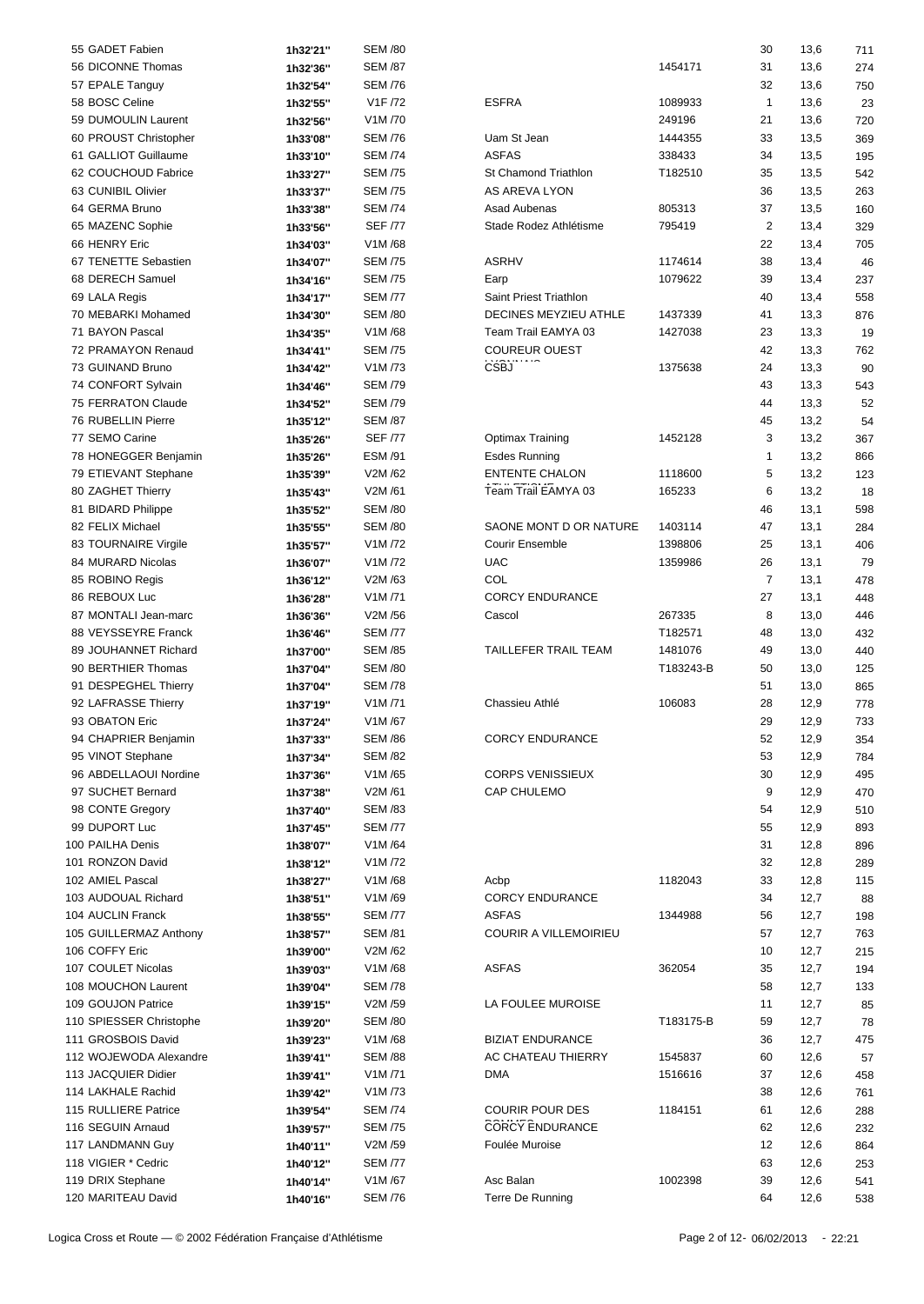| 55 GADET Fabien                   | 1h32'21" | <b>SEM /80</b> |                              |           | 30             | 13,6 | 711 |
|-----------------------------------|----------|----------------|------------------------------|-----------|----------------|------|-----|
| 56 DICONNE Thomas                 | 1h32'36" | <b>SEM /87</b> |                              | 1454171   | 31             | 13,6 | 274 |
| 57 EPALE Tanguy                   | 1h32'54" | <b>SEM /76</b> |                              |           | 32             | 13,6 | 750 |
| 58 BOSC Celine                    | 1h32'55" | V1F /72        | <b>ESFRA</b>                 | 1089933   | $\mathbf{1}$   | 13,6 | 23  |
| 59 DUMOULIN Laurent               | 1h32'56" | V1M/70         |                              | 249196    | 21             | 13,6 | 720 |
| 60 PROUST Christopher             | 1h33'08" | <b>SEM /76</b> | Uam St Jean                  | 1444355   | 33             | 13,5 | 369 |
| 61 GALLIOT Guillaume              | 1h33'10" | <b>SEM /74</b> | <b>ASFAS</b>                 | 338433    | 34             | 13,5 | 195 |
| 62 COUCHOUD Fabrice               | 1h33'27" | <b>SEM /75</b> | St Chamond Triathlon         | T182510   | 35             | 13,5 | 542 |
| 63 CUNIBIL Olivier                | 1h33'37" | <b>SEM /75</b> | AS AREVA LYON                |           | 36             | 13,5 | 263 |
| 64 GERMA Bruno                    | 1h33'38" | <b>SEM /74</b> | Asad Aubenas                 | 805313    | 37             | 13,5 | 160 |
|                                   |          |                |                              |           |                |      |     |
| 65 MAZENC Sophie<br>66 HENRY Eric | 1h33'56" | <b>SEF /77</b> | Stade Rodez Athlétisme       | 795419    | $\overline{2}$ | 13,4 | 329 |
|                                   | 1h34'03" | V1M/68         |                              |           | 22             | 13,4 | 705 |
| 67 TENETTE Sebastien              | 1h34'07" | <b>SEM /75</b> | <b>ASRHV</b>                 | 1174614   | 38             | 13,4 | 46  |
| 68 DERECH Samuel                  | 1h34'16" | <b>SEM /75</b> | Earp                         | 1079622   | 39             | 13,4 | 237 |
| 69 LALA Regis                     | 1h34'17" | <b>SEM /77</b> | Saint Priest Triathlon       |           | 40             | 13,4 | 558 |
| 70 MEBARKI Mohamed                | 1h34'30" | <b>SEM /80</b> | DECINES MEYZIEU ATHLE        | 1437339   | 41             | 13,3 | 876 |
| 71 BAYON Pascal                   | 1h34'35" | V1M/68         | Team Trail EAMYA 03          | 1427038   | 23             | 13,3 | 19  |
| 72 PRAMAYON Renaud                | 1h34'41" | <b>SEM /75</b> | <b>COUREUR OUEST</b>         |           | 42             | 13,3 | 762 |
| 73 GUINAND Bruno                  | 1h34'42" | V1M/73         | <b>CSBJ</b>                  | 1375638   | 24             | 13,3 | 90  |
| 74 CONFORT Sylvain                | 1h34'46" | <b>SEM /79</b> |                              |           | 43             | 13,3 | 543 |
| 75 FERRATON Claude                |          | <b>SEM /79</b> |                              |           | 44             | 13,3 | 52  |
| 76 RUBELLIN Pierre                | 1h34'52" | <b>SEM /87</b> |                              |           | 45             |      |     |
|                                   | 1h35'12" |                |                              |           |                | 13,2 | 54  |
| 77 SEMO Carine                    | 1h35'26" | <b>SEF /77</b> | <b>Optimax Training</b>      | 1452128   | 3              | 13,2 | 367 |
| 78 HONEGGER Benjamin              | 1h35'26" | <b>ESM /91</b> | <b>Esdes Running</b>         |           | $\mathbf{1}$   | 13,2 | 866 |
| 79 ETIEVANT Stephane              | 1h35'39" | V2M/62         | <b>ENTENTE CHALON</b>        | 1118600   | 5              | 13,2 | 123 |
| 80 ZAGHET Thierry                 | 1h35'43" | V2M /61        | Team Trail EAMYA 03          | 165233    | 6              | 13,2 | 18  |
| 81 BIDARD Philippe                | 1h35'52" | <b>SEM /80</b> |                              |           | 46             | 13,1 | 598 |
| 82 FELIX Michael                  | 1h35'55" | <b>SEM /80</b> | SAONE MONT D OR NATURE       | 1403114   | 47             | 13,1 | 284 |
| 83 TOURNAIRE Virgile              | 1h35'57" | V1M /72        | Courir Ensemble              | 1398806   | 25             | 13,1 | 406 |
| 84 MURARD Nicolas                 | 1h36'07" | V1M/72         | <b>UAC</b>                   | 1359986   | 26             | 13,1 | 79  |
| 85 ROBINO Regis                   | 1h36'12" | V2M/63         | <b>COL</b>                   |           | $\overline{7}$ | 13,1 | 478 |
|                                   |          |                | <b>CORCY ENDURANCE</b>       |           | 27             |      |     |
| 86 REBOUX Luc                     | 1h36'28" | V1M/71         |                              |           |                | 13,1 | 448 |
| 87 MONTALI Jean-marc              | 1h36'36" | V2M /56        | Cascol                       | 267335    | 8              | 13,0 | 446 |
| 88 VEYSSEYRE Franck               | 1h36'46" | <b>SEM /77</b> |                              | T182571   | 48             | 13,0 | 432 |
| 89 JOUHANNET Richard              | 1h37'00" | <b>SEM /85</b> | TAILLEFER TRAIL TEAM         | 1481076   | 49             | 13,0 | 440 |
| 90 BERTHIER Thomas                | 1h37'04" | <b>SEM /80</b> |                              | T183243-B | 50             | 13,0 | 125 |
| 91 DESPEGHEL Thierry              | 1h37'04" | <b>SEM /78</b> |                              |           | 51             | 13,0 | 865 |
| 92 LAFRASSE Thierry               | 1h37'19" | V1M/71         | Chassieu Athlé               | 106083    | 28             | 12,9 | 778 |
| 93 OBATON Eric                    | 1h37'24" | V1M/67         |                              |           | 29             | 12,9 | 733 |
| 94 CHAPRIER Benjamin              | 1h37'33" | <b>SEM /86</b> | CORCY ENDURANCE              |           | 52             | 12,9 | 354 |
| 95 VINOT Stephane                 |          | <b>SEM /82</b> |                              |           | 53             | 12,9 | 784 |
|                                   | 1h37'34" |                |                              |           |                |      |     |
| 96 ABDELLAOUI Nordine             | 1h37'36" | V1M/65         | <b>CORPS VENISSIEUX</b>      |           | 30             | 12,9 | 495 |
| 97 SUCHET Bernard                 | 1h37'38" | V2M /61        | CAP CHULEMO                  |           | 9              | 12,9 | 470 |
| 98 CONTE Gregory                  | 1h37'40" | <b>SEM /83</b> |                              |           | 54             | 12,9 | 510 |
| 99 DUPORT Luc                     | 1h37'45" | <b>SEM /77</b> |                              |           | 55             | 12,9 | 893 |
| 100 PAILHA Denis                  |          | V1M/64         |                              |           |                |      |     |
|                                   | 1h38'07" |                |                              |           | 31             | 12,8 | 896 |
| 101 RONZON David                  | 1h38'12" | V1M/72         |                              |           | 32             | 12,8 | 289 |
| 102 AMIEL Pascal                  | 1h38'27" | V1M/68         | Acbp                         | 1182043   | 33             | 12,8 | 115 |
| 103 AUDOUAL Richard               | 1h38'51" | V1M/69         | <b>CORCY ENDURANCE</b>       |           | 34             | 12,7 |     |
|                                   |          |                |                              |           |                |      | 88  |
| 104 AUCLIN Franck                 | 1h38'55" | <b>SEM /77</b> | ASFAS                        | 1344988   | 56             | 12,7 | 198 |
| 105 GUILLERMAZ Anthony            | 1h38'57" | <b>SEM /81</b> | <b>COURIR A VILLEMOIRIEU</b> |           | 57             | 12,7 | 763 |
| 106 COFFY Eric                    | 1h39'00" | V2M/62         |                              |           | 10             | 12,7 | 215 |
| 107 COULET Nicolas                | 1h39'03" | V1M/68         | ASFAS                        | 362054    | 35             | 12,7 | 194 |
| 108 MOUCHON Laurent               | 1h39'04" | <b>SEM /78</b> |                              |           | 58             | 12,7 | 133 |
| 109 GOUJON Patrice                | 1h39'15" | V2M /59        | LA FOULEE MUROISE            |           | 11             | 12,7 | 85  |
| 110 SPIESSER Christophe           | 1h39'20" | <b>SEM /80</b> |                              | T183175-B | 59             | 12,7 | 78  |
| 111 GROSBOIS David                | 1h39'23" | V1M/68         | <b>BIZIAT ENDURANCE</b>      |           | 36             | 12,7 | 475 |
| 112 WOJEWODA Alexandre            | 1h39'41" | <b>SEM /88</b> | AC CHATEAU THIERRY           | 1545837   | 60             | 12,6 | 57  |
|                                   |          |                |                              |           |                |      |     |
| 113 JACQUIER Didier               | 1h39'41" | V1M/71         | <b>DMA</b>                   | 1516616   | 37             | 12,6 | 458 |
| 114 LAKHALE Rachid                | 1h39'42" | V1M/73         |                              |           | 38             | 12,6 | 761 |
| 115 RULLIERE Patrice              | 1h39'54" | <b>SEM /74</b> | <b>COURIR POUR DES</b>       | 1184151   | 61             | 12,6 | 288 |
| 116 SEGUIN Arnaud                 | 1h39'57" | <b>SEM /75</b> | CORCY ENDURANCE              |           | 62             | 12,6 | 232 |
| 117 LANDMANN Guy                  | 1h40'11" | V2M /59        | Foulée Muroise               |           | 12             | 12,6 | 864 |
| 118 VIGIER * Cedric               | 1h40'12" | <b>SEM /77</b> |                              |           | 63             | 12,6 | 253 |
| 119 DRIX Stephane                 | 1h40'14" | V1M/67         | Asc Balan                    | 1002398   | 39             | 12,6 | 541 |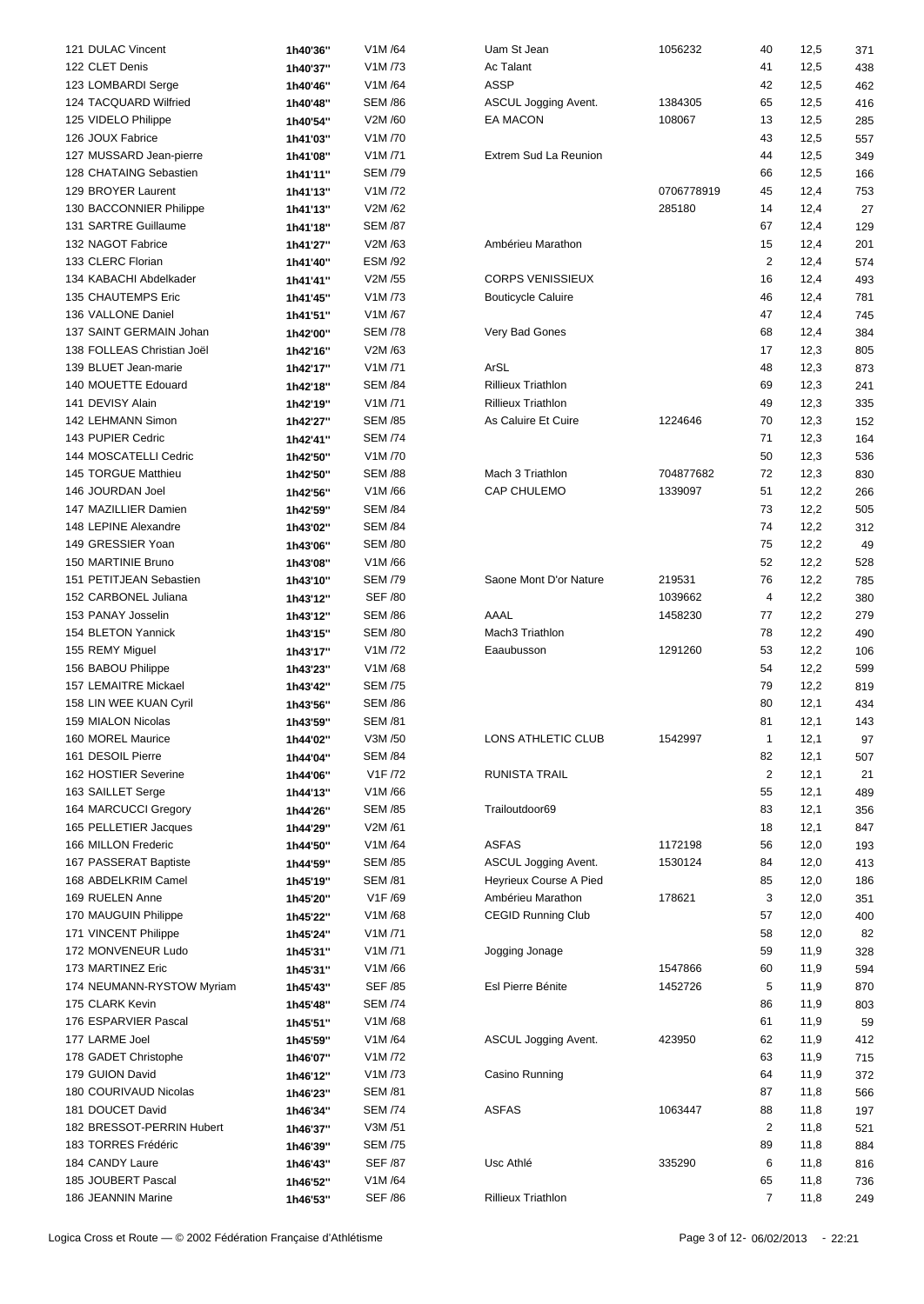| 121 DULAC Vincent          | 1h40'36" | V1M/64         | Uam St Jean               | 1056232    | 40             | 12,5 | 371 |
|----------------------------|----------|----------------|---------------------------|------------|----------------|------|-----|
| 122 CLET Denis             | 1h40'37" | V1M/73         | Ac Talant                 |            | 41             | 12,5 | 438 |
| 123 LOMBARDI Serge         | 1h40'46" | V1M/64         | <b>ASSP</b>               |            | 42             | 12,5 | 462 |
| 124 TACQUARD Wilfried      | 1h40'48" | <b>SEM /86</b> | ASCUL Jogging Avent.      | 1384305    | 65             | 12,5 | 416 |
| 125 VIDELO Philippe        |          | V2M /60        | EA MACON                  | 108067     | 13             | 12,5 |     |
|                            | 1h40'54" |                |                           |            |                |      | 285 |
| 126 JOUX Fabrice           | 1h41'03" | V1M/70         |                           |            | 43             | 12,5 | 557 |
| 127 MUSSARD Jean-pierre    | 1h41'08" | V1M/71         | Extrem Sud La Reunion     |            | 44             | 12,5 | 349 |
| 128 CHATAING Sebastien     | 1h41'11" | <b>SEM /79</b> |                           |            | 66             | 12,5 | 166 |
| 129 BROYER Laurent         | 1h41'13" | V1M /72        |                           | 0706778919 | 45             | 12,4 | 753 |
| 130 BACCONNIER Philippe    | 1h41'13" | V2M /62        |                           | 285180     | 14             | 12,4 | 27  |
| 131 SARTRE Guillaume       | 1h41'18" | <b>SEM /87</b> |                           |            | 67             | 12,4 | 129 |
| 132 NAGOT Fabrice          | 1h41'27" | V2M/63         | Ambérieu Marathon         |            | 15             | 12,4 | 201 |
| 133 CLERC Florian          | 1h41'40" | <b>ESM /92</b> |                           |            | $\overline{2}$ | 12,4 | 574 |
| 134 KABACHI Abdelkader     | 1h41'41" | V2M /55        | <b>CORPS VENISSIEUX</b>   |            | 16             | 12,4 | 493 |
|                            |          |                |                           |            | 46             |      |     |
| 135 CHAUTEMPS Eric         | 1h41'45" | V1M /73        | <b>Bouticycle Caluire</b> |            |                | 12,4 | 781 |
| 136 VALLONE Daniel         | 1h41'51" | V1M/67         |                           |            | 47             | 12,4 | 745 |
| 137 SAINT GERMAIN Johan    | 1h42'00" | <b>SEM /78</b> | Very Bad Gones            |            | 68             | 12,4 | 384 |
| 138 FOLLEAS Christian Joël | 1h42'16" | V2M /63        |                           |            | 17             | 12,3 | 805 |
| 139 BLUET Jean-marie       | 1h42'17" | V1M/71         | ArSL                      |            | 48             | 12,3 | 873 |
| 140 MOUETTE Edouard        | 1h42'18" | <b>SEM /84</b> | <b>Rillieux Triathlon</b> |            | 69             | 12,3 | 241 |
| 141 DEVISY Alain           | 1h42'19" | V1M/71         | <b>Rillieux Triathlon</b> |            | 49             | 12,3 | 335 |
| 142 LEHMANN Simon          | 1h42'27" | <b>SEM /85</b> | As Caluire Et Cuire       | 1224646    | 70             | 12,3 | 152 |
| 143 PUPIER Cedric          | 1h42'41" | <b>SEM /74</b> |                           |            | 71             | 12,3 | 164 |
| 144 MOSCATELLI Cedric      |          | V1M /70        |                           |            | 50             |      |     |
|                            | 1h42'50" |                |                           |            |                | 12,3 | 536 |
| 145 TORGUE Matthieu        | 1h42'50" | <b>SEM /88</b> | Mach 3 Triathlon          | 704877682  | 72             | 12,3 | 830 |
| 146 JOURDAN Joel           | 1h42'56" | V1M/66         | CAP CHULEMO               | 1339097    | 51             | 12,2 | 266 |
| 147 MAZILLIER Damien       | 1h42'59" | <b>SEM /84</b> |                           |            | 73             | 12,2 | 505 |
| 148 LEPINE Alexandre       | 1h43'02" | <b>SEM /84</b> |                           |            | 74             | 12,2 | 312 |
| 149 GRESSIER Yoan          | 1h43'06" | <b>SEM /80</b> |                           |            | 75             | 12,2 | 49  |
| 150 MARTINIE Bruno         | 1h43'08" | V1M/66         |                           |            | 52             | 12,2 | 528 |
| 151 PETITJEAN Sebastien    | 1h43'10" | <b>SEM /79</b> | Saone Mont D'or Nature    | 219531     | 76             | 12,2 | 785 |
| 152 CARBONEL Juliana       | 1h43'12" | <b>SEF /80</b> |                           | 1039662    | 4              | 12,2 | 380 |
| 153 PANAY Josselin         | 1h43'12" | <b>SEM /86</b> | AAAL                      | 1458230    | 77             | 12,2 | 279 |
|                            |          |                | Mach3 Triathlon           |            |                |      |     |
| 154 BLETON Yannick         | 1h43'15" | <b>SEM /80</b> |                           |            | 78             | 12,2 | 490 |
| 155 REMY Miguel            | 1h43'17" | V1M/72         | Eaaubusson                | 1291260    | 53             | 12,2 | 106 |
| 156 BABOU Philippe         | 1h43'23" | V1M/68         |                           |            | 54             | 12,2 | 599 |
| 157 LEMAITRE Mickael       | 1h43'42" | <b>SEM /75</b> |                           |            | 79             | 12,2 | 819 |
| 158 LIN WEE KUAN Cyril     | 1h43'56" | <b>SEM /86</b> |                           |            | 80             | 12,1 | 434 |
| 159 MIALON Nicolas         | 1h43'59" | <b>SEM /81</b> |                           |            | 81             | 12,1 | 143 |
| 160 MOREL Maurice          | 1h44'02" | V3M /50        | LONS ATHLETIC CLUB        | 1542997    |                | 12,1 | 97  |
| 161 DESOIL Pierre          | 1h44'04" | <b>SEM /84</b> |                           |            | 82             | 12,1 | 507 |
| 162 HOSTIER Severine       | 1h44'06" | V1F /72        | RUNISTA TRAIL             |            | $\overline{2}$ | 12,1 | 21  |
| 163 SAILLET Serge          | 1h44'13" | V1M/66         |                           |            | 55             | 12,1 | 489 |
|                            |          |                |                           |            |                |      |     |
| 164 MARCUCCI Gregory       | 1h44'26" | <b>SEM /85</b> | Trailoutdoor69            |            | 83             | 12,1 | 356 |
| 165 PELLETIER Jacques      | 1h44'29" | V2M /61        |                           |            | 18             | 12,1 | 847 |
| 166 MILLON Frederic        | 1h44'50" | V1M/64         | <b>ASFAS</b>              | 1172198    | 56             | 12,0 | 193 |
| 167 PASSERAT Baptiste      | 1h44'59" | <b>SEM /85</b> | ASCUL Jogging Avent.      | 1530124    | 84             | 12,0 | 413 |
| 168 ABDELKRIM Camel        | 1h45'19" | <b>SEM /81</b> | Heyrieux Course A Pied    |            | 85             | 12,0 | 186 |
| 169 RUELEN Anne            | 1h45'20" | V1F/69         | Ambérieu Marathon         | 178621     | 3              | 12,0 | 351 |
| 170 MAUGUIN Philippe       | 1h45'22" | V1M/68         | <b>CEGID Running Club</b> |            | 57             | 12,0 | 400 |
| 171 VINCENT Philippe       | 1h45'24" | V1M/71         |                           |            | 58             | 12,0 | 82  |
| 172 MONVENEUR Ludo         | 1h45'31" | V1M/71         | Jogging Jonage            |            | 59             | 11,9 | 328 |
| 173 MARTINEZ Eric          | 1h45'31" | V1M/66         |                           | 1547866    | 60             | 11,9 | 594 |
| 174 NEUMANN-RYSTOW Myriam  |          | <b>SEF /85</b> | Esl Pierre Bénite         | 1452726    | 5              | 11,9 |     |
|                            | 1h45'43" |                |                           |            |                |      | 870 |
| 175 CLARK Kevin            | 1h45'48" | <b>SEM /74</b> |                           |            | 86             | 11,9 | 803 |
| 176 ESPARVIER Pascal       | 1h45'51" | V1M/68         |                           |            | 61             | 11,9 | 59  |
| 177 LARME Joel             | 1h45'59" | V1M/64         | ASCUL Jogging Avent.      | 423950     | 62             | 11,9 | 412 |
| 178 GADET Christophe       | 1h46'07" | V1M /72        |                           |            | 63             | 11,9 | 715 |
| 179 GUION David            | 1h46'12" | V1M /73        | Casino Running            |            | 64             | 11,9 | 372 |
| 180 COURIVAUD Nicolas      | 1h46'23" | <b>SEM /81</b> |                           |            | 87             | 11,8 | 566 |
| 181 DOUCET David           | 1h46'34" | <b>SEM /74</b> | <b>ASFAS</b>              | 1063447    | 88             | 11,8 | 197 |
| 182 BRESSOT-PERRIN Hubert  | 1h46'37" | V3M /51        |                           |            | $\overline{2}$ | 11,8 | 521 |
| 183 TORRES Frédéric        |          | <b>SEM /75</b> |                           |            | 89             | 11,8 | 884 |
|                            | 1h46'39" |                |                           |            |                |      |     |
| 184 CANDY Laure            | 1h46'43" | <b>SEF /87</b> | Usc Athlé                 | 335290     | 6              | 11,8 | 816 |
| 185 JOUBERT Pascal         | 1h46'52" | V1M/64         |                           |            | 65             | 11,8 | 736 |
| 186 JEANNIN Marine         | 1h46'53" | <b>SEF /86</b> | <b>Rillieux Triathlon</b> |            | $\overline{7}$ | 11,8 | 249 |

| 121 DULAC Vincent          | 1h40'36" | V1M/64                          | Uam St Jean               | 1056232    | 40             | 12,5 | 371 |
|----------------------------|----------|---------------------------------|---------------------------|------------|----------------|------|-----|
| 122 CLET Denis             | 1h40'37" | V1M /73                         | Ac Talant                 |            | 41             | 12,5 | 438 |
| 123 LOMBARDI Serge         | 1h40'46" | V1M/64                          | ASSP                      |            | 42             | 12,5 | 462 |
| 124 TACQUARD Wilfried      |          | <b>SEM /86</b>                  | ASCUL Jogging Avent.      | 1384305    | 65             | 12,5 | 416 |
|                            | 1h40'48" |                                 |                           |            |                |      |     |
| 125 VIDELO Philippe        | 1h40'54" | V2M /60                         | <b>EA MACON</b>           | 108067     | 13             | 12,5 | 285 |
| 126 JOUX Fabrice           | 1h41'03" | V1M/70                          |                           |            | 43             | 12,5 | 557 |
| 127 MUSSARD Jean-pierre    | 1h41'08" | V1M/71                          | Extrem Sud La Reunion     |            | 44             | 12,5 | 349 |
| 128 CHATAING Sebastien     | 1h41'11" | <b>SEM /79</b>                  |                           |            | 66             | 12,5 | 166 |
| 129 BROYER Laurent         | 1h41'13" | V1M /72                         |                           | 0706778919 | 45             | 12,4 | 753 |
| 130 BACCONNIER Philippe    | 1h41'13" | V2M /62                         |                           | 285180     | 14             | 12,4 | 27  |
| 131 SARTRE Guillaume       | 1h41'18" | <b>SEM /87</b>                  |                           |            | 67             | 12,4 | 129 |
| 132 NAGOT Fabrice          | 1h41'27" | V2M /63                         | Ambérieu Marathon         |            | 15             | 12,4 | 201 |
| 133 CLERC Florian          | 1h41'40" | <b>ESM /92</b>                  |                           |            | 2              | 12,4 | 574 |
| 134 KABACHI Abdelkader     | 1h41'41" | V2M /55                         | <b>CORPS VENISSIEUX</b>   |            | 16             | 12,4 | 493 |
| 135 CHAUTEMPS Eric         |          | V1M/73                          | <b>Bouticycle Caluire</b> |            | 46             | 12,4 |     |
|                            | 1h41'45" |                                 |                           |            |                |      | 781 |
| 136 VALLONE Daniel         | 1h41'51" | V1M/67                          |                           |            | 47             | 12,4 | 745 |
| 137 SAINT GERMAIN Johan    | 1h42'00" | <b>SEM /78</b>                  | Very Bad Gones            |            | 68             | 12,4 | 384 |
| 138 FOLLEAS Christian Joël | 1h42'16" | V2M /63                         |                           |            | 17             | 12,3 | 805 |
| 139 BLUET Jean-marie       | 1h42'17" | V1M/71                          | ArSL                      |            | 48             | 12,3 | 873 |
| 140 MOUETTE Edouard        | 1h42'18" | <b>SEM /84</b>                  | <b>Rillieux Triathlon</b> |            | 69             | 12,3 | 241 |
| 141 DEVISY Alain           | 1h42'19" | V <sub>1</sub> M <sub>/71</sub> | <b>Rillieux Triathlon</b> |            | 49             | 12,3 | 335 |
| 142 LEHMANN Simon          | 1h42'27" | <b>SEM /85</b>                  | As Caluire Et Cuire       | 1224646    | 70             | 12,3 | 152 |
| 143 PUPIER Cedric          | 1h42'41" | <b>SEM /74</b>                  |                           |            | 71             | 12,3 | 164 |
| 144 MOSCATELLI Cedric      | 1h42'50" | V1M /70                         |                           |            | 50             | 12,3 | 536 |
| 145 TORGUE Matthieu        | 1h42'50" | <b>SEM /88</b>                  | Mach 3 Triathlon          | 704877682  | 72             | 12,3 | 830 |
|                            |          |                                 |                           |            |                |      |     |
| 146 JOURDAN Joel           | 1h42'56" | V1M/66                          | <b>CAP CHULEMO</b>        | 1339097    | 51             | 12,2 | 266 |
| 147 MAZILLIER Damien       | 1h42'59" | <b>SEM /84</b>                  |                           |            | 73             | 12,2 | 505 |
| 148 LEPINE Alexandre       | 1h43'02" | <b>SEM /84</b>                  |                           |            | 74             | 12,2 | 312 |
| 149 GRESSIER Yoan          | 1h43'06" | <b>SEM /80</b>                  |                           |            | 75             | 12,2 | 49  |
| 150 MARTINIE Bruno         | 1h43'08" | V1M/66                          |                           |            | 52             | 12,2 | 528 |
| 151 PETITJEAN Sebastien    | 1h43'10" | <b>SEM /79</b>                  | Saone Mont D'or Nature    | 219531     | 76             | 12,2 | 785 |
| 152 CARBONEL Juliana       | 1h43'12" | <b>SEF /80</b>                  |                           | 1039662    | 4              | 12,2 | 380 |
| 153 PANAY Josselin         | 1h43'12" | <b>SEM /86</b>                  | AAAL                      | 1458230    | 77             | 12,2 | 279 |
| 154 BLETON Yannick         | 1h43'15" | <b>SEM /80</b>                  | Mach3 Triathlon           |            | 78             | 12,2 | 490 |
| 155 REMY Miguel            | 1h43'17" | V1M /72                         | Eaaubusson                | 1291260    | 53             | 12,2 | 106 |
| 156 BABOU Philippe         | 1h43'23" | V1M/68                          |                           |            | 54             | 12,2 | 599 |
| 157 LEMAITRE Mickael       |          | <b>SEM /75</b>                  |                           |            | 79             | 12,2 |     |
|                            | 1h43'42" |                                 |                           |            |                |      | 819 |
| 158 LIN WEE KUAN Cyril     | 1h43'56" | <b>SEM /86</b>                  |                           |            | 80             | 12,1 | 434 |
| 159 MIALON Nicolas         | 1h43'59" | <b>SEM /81</b>                  |                           |            | 81             | 12,1 | 143 |
| 160 MOREL Maurice          | 1h44'02" | V3M /50                         | LONS ATHLETIC CLUB        | 1542997    |                | 12,1 | 97  |
| 161 DESOIL Pierre          | 1h44'04" | <b>SEM /84</b>                  |                           |            | 82             | 12,1 | 507 |
| 162 HOSTIER Severine       | 1h44'06" | V1F /72                         | <b>RUNISTA TRAIL</b>      |            | $\overline{2}$ | 12,1 | 21  |
| 163 SAILLET Serge          | 1h44'13" | V1M/66                          |                           |            | 55             | 12,1 | 489 |
| 164 MARCUCCI Gregory       | 1h44'26" | <b>SEM /85</b>                  | Trailoutdoor69            |            | 83             | 12,1 | 356 |
| 165 PELLETIER Jacques      | 1h44'29" | V2M /61                         |                           |            | 18             | 12,1 | 847 |
| 166 MILLON Frederic        | 1h44'50" | V1M/64                          | <b>ASFAS</b>              | 1172198    | 56             | 12,0 | 193 |
| 167 PASSERAT Baptiste      | 1h44'59" | <b>SEM /85</b>                  | ASCUL Jogging Avent.      | 1530124    | 84             | 12,0 | 413 |
| 168 ABDELKRIM Camel        |          | <b>SEM /81</b>                  | Heyrieux Course A Pied    |            |                |      |     |
|                            | 1h45'19" |                                 |                           |            | 85             | 12,0 | 186 |
| 169 RUELEN Anne            | 1h45'20" | V1F /69                         | Ambérieu Marathon         | 178621     | 3              | 12,0 | 351 |
| 170 MAUGUIN Philippe       | 1h45'22" | V1M/68                          | <b>CEGID Running Club</b> |            | 57             | 12,0 | 400 |
| 171 VINCENT Philippe       | 1h45'24" | V1M/71                          |                           |            | 58             | 12,0 | 82  |
| 172 MONVENEUR Ludo         | 1h45'31" | V1M/71                          | Jogging Jonage            |            | 59             | 11,9 | 328 |
| 173 MARTINEZ Eric          | 1h45'31" | V1M/66                          |                           | 1547866    | 60             | 11,9 | 594 |
| 174 NEUMANN-RYSTOW Myriam  | 1h45'43" | <b>SEF /85</b>                  | Esl Pierre Bénite         | 1452726    | 5              | 11,9 | 870 |
| 175 CLARK Kevin            | 1h45'48" | <b>SEM /74</b>                  |                           |            | 86             | 11,9 | 803 |
| 176 ESPARVIER Pascal       | 1h45'51" | V1M/68                          |                           |            | 61             | 11,9 | 59  |
| 177 LARME Joel             | 1h45'59" | V1M/64                          | ASCUL Jogging Avent.      | 423950     | 62             | 11,9 | 412 |
| 178 GADET Christophe       |          | V1M /72                         |                           |            | 63             |      |     |
|                            | 1h46'07" |                                 |                           |            |                | 11,9 | 715 |
| 179 GUION David            | 1h46'12" | V1M /73                         | Casino Running            |            | 64             | 11,9 | 372 |
| 180 COURIVAUD Nicolas      | 1h46'23" | <b>SEM /81</b>                  |                           |            | 87             | 11,8 | 566 |
| 181 DOUCET David           | 1h46'34" | <b>SEM /74</b>                  | <b>ASFAS</b>              | 1063447    | 88             | 11,8 | 197 |
| 182 BRESSOT-PERRIN Hubert  | 1h46'37" | V3M /51                         |                           |            | 2              | 11,8 | 521 |
| 183 TORRES Frédéric        | 1h46'39" | <b>SEM /75</b>                  |                           |            | 89             | 11,8 | 884 |
| 184 CANDY Laure            | 1h46'43" | <b>SEF /87</b>                  | Usc Athlé                 | 335290     | 6              | 11,8 | 816 |
| 185 JOUBERT Pascal         | 1h46'52" | V1M/64                          |                           |            | 65             | 11,8 | 736 |
| 186 JEANNIN Marine         | 1h46'53" | <b>SEF /86</b>                  | <b>Rillieux Triathlon</b> |            | $\overline{7}$ | 11,8 | 249 |
|                            |          |                                 |                           |            |                |      |     |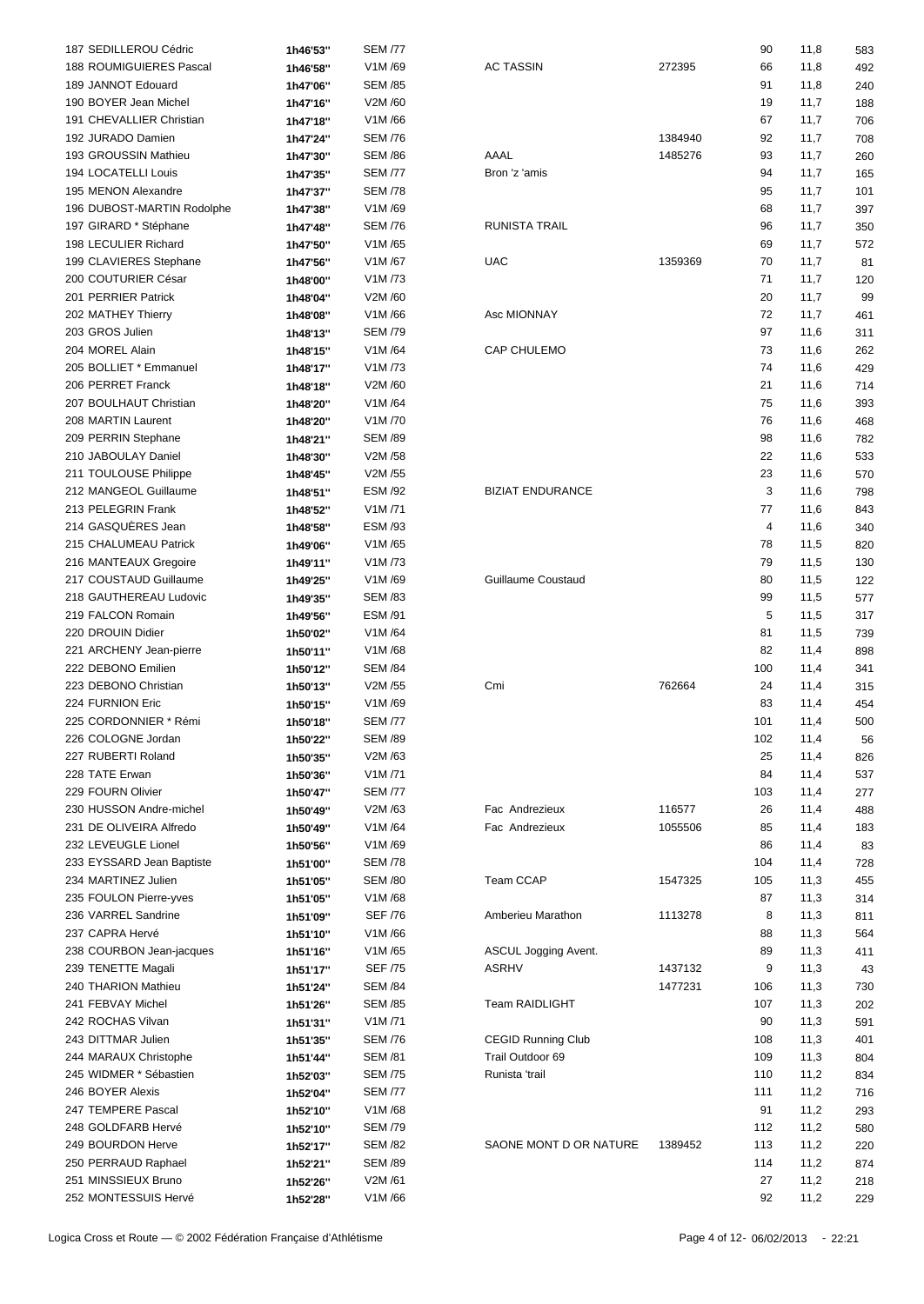| 187 SEDILLEROU Cédric      | 1h46'53" | <b>SEM /77</b> |                           |         | 90  | 11,8 | 583 |
|----------------------------|----------|----------------|---------------------------|---------|-----|------|-----|
| 188 ROUMIGUIERES Pascal    | 1h46'58" | V1M/69         | <b>AC TASSIN</b>          | 272395  | 66  | 11,8 | 492 |
| 189 JANNOT Edouard         | 1h47'06" | <b>SEM /85</b> |                           |         | 91  | 11,8 | 240 |
| 190 BOYER Jean Michel      | 1h47'16" | V2M /60        |                           |         | 19  | 11,7 | 188 |
| 191 CHEVALLIER Christian   |          | V1M/66         |                           |         | 67  | 11,7 |     |
|                            | 1h47'18" |                |                           |         |     |      | 706 |
| 192 JURADO Damien          | 1h47'24" | <b>SEM /76</b> |                           | 1384940 | 92  | 11,7 | 708 |
| 193 GROUSSIN Mathieu       | 1h47'30" | <b>SEM /86</b> | AAAL                      | 1485276 | 93  | 11,7 | 260 |
| 194 LOCATELLI Louis        | 1h47'35" | <b>SEM /77</b> | Bron 'z 'amis             |         | 94  | 11,7 | 165 |
| 195 MENON Alexandre        | 1h47'37" | <b>SEM /78</b> |                           |         | 95  | 11,7 | 101 |
| 196 DUBOST-MARTIN Rodolphe | 1h47'38" | V1M/69         |                           |         | 68  | 11,7 | 397 |
| 197 GIRARD * Stéphane      | 1h47'48" | <b>SEM /76</b> | RUNISTA TRAIL             |         | 96  | 11,7 | 350 |
| 198 LECULIER Richard       | 1h47'50" | V1M/65         |                           |         | 69  | 11,7 | 572 |
| 199 CLAVIERES Stephane     | 1h47'56" | V1M/67         | <b>UAC</b>                | 1359369 | 70  | 11,7 | 81  |
| 200 COUTURIER César        | 1h48'00" | V1M /73        |                           |         | 71  | 11,7 | 120 |
| 201 PERRIER Patrick        | 1h48'04" | V2M /60        |                           |         | 20  | 11,7 | 99  |
|                            |          | V1M/66         |                           |         | 72  |      |     |
| 202 MATHEY Thierry         | 1h48'08" |                | Asc MIONNAY               |         |     | 11,7 | 461 |
| 203 GROS Julien            | 1h48'13" | <b>SEM /79</b> |                           |         | 97  | 11,6 | 311 |
| 204 MOREL Alain            | 1h48'15" | V1M/64         | CAP CHULEMO               |         | 73  | 11,6 | 262 |
| 205 BOLLIET * Emmanuel     | 1h48'17" | V1M /73        |                           |         | 74  | 11,6 | 429 |
| 206 PERRET Franck          | 1h48'18" | V2M /60        |                           |         | 21  | 11,6 | 714 |
| 207 BOULHAUT Christian     | 1h48'20" | V1M/64         |                           |         | 75  | 11,6 | 393 |
| 208 MARTIN Laurent         | 1h48'20" | V1M/70         |                           |         | 76  | 11,6 | 468 |
| 209 PERRIN Stephane        | 1h48'21" | <b>SEM /89</b> |                           |         | 98  | 11,6 | 782 |
| 210 JABOULAY Daniel        | 1h48'30" | V2M /58        |                           |         | 22  | 11,6 | 533 |
| 211 TOULOUSE Philippe      |          | V2M /55        |                           |         | 23  | 11,6 |     |
|                            | 1h48'45" |                |                           |         |     |      | 570 |
| 212 MANGEOL Guillaume      | 1h48'51" | <b>ESM /92</b> | <b>BIZIAT ENDURANCE</b>   |         | 3   | 11,6 | 798 |
| 213 PELEGRIN Frank         | 1h48'52" | V1M/71         |                           |         | 77  | 11,6 | 843 |
| 214 GASQUÈRES Jean         | 1h48'58" | <b>ESM /93</b> |                           |         | 4   | 11,6 | 340 |
| 215 CHALUMEAU Patrick      | 1h49'06" | V1M/65         |                           |         | 78  | 11,5 | 820 |
| 216 MANTEAUX Gregoire      | 1h49'11" | V1M /73        |                           |         | 79  | 11,5 | 130 |
| 217 COUSTAUD Guillaume     | 1h49'25" | V1M/69         | Guillaume Coustaud        |         | 80  | 11,5 | 122 |
| 218 GAUTHEREAU Ludovic     | 1h49'35" | <b>SEM /83</b> |                           |         | 99  | 11,5 | 577 |
| 219 FALCON Romain          | 1h49'56" | ESM /91        |                           |         | 5   | 11,5 | 317 |
| 220 DROUIN Didier          | 1h50'02" | V1M/64         |                           |         | 81  | 11,5 | 739 |
|                            |          |                |                           |         |     |      |     |
| 221 ARCHENY Jean-pierre    | 1h50'11" | V1M/68         |                           |         | 82  | 11,4 | 898 |
| 222 DEBONO Emilien         | 1h50'12" | <b>SEM /84</b> |                           |         | 100 | 11,4 | 341 |
| 223 DEBONO Christian       | 1h50'13" | V2M /55        | Cmi                       | 762664  | 24  | 11,4 | 315 |
| 224 FURNION Eric           | 1h50'15" | V1M/69         |                           |         | 83  | 11,4 | 454 |
| 225 CORDONNIER * Rémi      | 1h50'18" | <b>SEM /77</b> |                           |         | 101 | 11,4 | 500 |
| 226 COLOGNE Jordan         | 1h50'22" | <b>SEM /89</b> |                           |         | 102 | 11,4 | 56  |
| 227 RUBERTI Roland         | 1h50'35" | V2M /63        |                           |         | 25  | 11,4 | 826 |
| 228 TATE Erwan             | 1h50'36" | V1M/71         |                           |         | 84  | 11,4 | 537 |
| 229 FOURN Olivier          | 1h50'47" | <b>SEM /77</b> |                           |         | 103 | 11,4 | 277 |
| 230 HUSSON Andre-michel    | 1h50'49" | V2M /63        | Fac Andrezieux            | 116577  | 26  | 11,4 | 488 |
|                            |          |                |                           |         |     |      |     |
| 231 DE OLIVEIRA Alfredo    | 1h50'49" | V1M/64         | Fac Andrezieux            | 1055506 | 85  | 11,4 | 183 |
| 232 LEVEUGLE Lionel        | 1h50'56" | V1M/69         |                           |         | 86  | 11,4 | 83  |
| 233 EYSSARD Jean Baptiste  | 1h51'00" | <b>SEM /78</b> |                           |         | 104 | 11,4 | 728 |
| 234 MARTINEZ Julien        | 1h51'05" | <b>SEM /80</b> | Team CCAP                 | 1547325 | 105 | 11,3 | 455 |
| 235 FOULON Pierre-yves     | 1h51'05" | V1M/68         |                           |         | 87  | 11,3 | 314 |
| 236 VARREL Sandrine        | 1h51'09" | <b>SEF /76</b> | Amberieu Marathon         | 1113278 | 8   | 11,3 | 811 |
| 237 CAPRA Hervé            | 1h51'10" | V1M/66         |                           |         | 88  | 11,3 | 564 |
| 238 COURBON Jean-jacques   | 1h51'16" | V1M /65        | ASCUL Jogging Avent.      |         | 89  | 11,3 | 411 |
| 239 TENETTE Magali         | 1h51'17" | <b>SEF /75</b> | <b>ASRHV</b>              | 1437132 | 9   | 11,3 | 43  |
| 240 THARION Mathieu        | 1h51'24" | <b>SEM /84</b> |                           | 1477231 | 106 | 11,3 | 730 |
|                            |          |                |                           |         |     |      |     |
| 241 FEBVAY Michel          | 1h51'26" | <b>SEM /85</b> | <b>Team RAIDLIGHT</b>     |         | 107 | 11,3 | 202 |
| 242 ROCHAS Vilvan          | 1h51'31" | V1M/71         |                           |         | 90  | 11,3 | 591 |
| 243 DITTMAR Julien         | 1h51'35" | <b>SEM /76</b> | <b>CEGID Running Club</b> |         | 108 | 11,3 | 401 |
| 244 MARAUX Christophe      | 1h51'44" | <b>SEM /81</b> | Trail Outdoor 69          |         | 109 | 11,3 | 804 |
| 245 WIDMER * Sébastien     | 1h52'03" | <b>SEM /75</b> | Runista 'trail            |         | 110 | 11,2 | 834 |
| 246 BOYER Alexis           | 1h52'04" | <b>SEM /77</b> |                           |         | 111 | 11,2 | 716 |
| 247 TEMPERE Pascal         | 1h52'10" | V1M/68         |                           |         | 91  | 11,2 | 293 |
| 248 GOLDFARB Hervé         | 1h52'10" | <b>SEM /79</b> |                           |         | 112 | 11,2 | 580 |
| 249 BOURDON Herve          | 1h52'17" | <b>SEM /82</b> | SAONE MONT D OR NATURE    | 1389452 | 113 | 11,2 | 220 |
|                            |          |                |                           |         |     |      |     |
| 250 PERRAUD Raphael        | 1h52'21" | <b>SEM /89</b> |                           |         | 114 | 11,2 | 874 |
| 251 MINSSIEUX Bruno        | 1h52'26" | V2M /61        |                           |         | 27  | 11,2 | 218 |
| 252 MONTESSUIS Hervé       | 1h52'28" | V1M /66        |                           |         | 92  | 11,2 | 229 |

| 187 SEDILLEROU Cédric      | 1h46'53" | <b>SEM /77</b> |                           |         | 90  | 11,8 | 583 |
|----------------------------|----------|----------------|---------------------------|---------|-----|------|-----|
| 188 ROUMIGUIERES Pascal    | 1h46'58" | V1M/69         | <b>AC TASSIN</b>          | 272395  | 66  | 11,8 | 492 |
| 189 JANNOT Edouard         | 1h47'06" | <b>SEM /85</b> |                           |         | 91  | 11,8 | 240 |
| 190 BOYER Jean Michel      | 1h47'16" | V2M /60        |                           |         | 19  | 11,7 | 188 |
| 191 CHEVALLIER Christian   | 1h47'18" | V1M/66         |                           |         | 67  | 11,7 | 706 |
| 192 JURADO Damien          | 1h47'24" | <b>SEM /76</b> |                           | 1384940 | 92  | 11,7 | 708 |
| 193 GROUSSIN Mathieu       |          | <b>SEM /86</b> | AAAL                      | 1485276 | 93  | 11,7 |     |
| 194 LOCATELLI Louis        | 1h47'30" |                |                           |         |     |      | 260 |
|                            | 1h47'35" | <b>SEM /77</b> | Bron 'z 'amis             |         | 94  | 11,7 | 165 |
| 195 MENON Alexandre        | 1h47'37" | <b>SEM /78</b> |                           |         | 95  | 11,7 | 101 |
| 196 DUBOST-MARTIN Rodolphe | 1h47'38" | V1M/69         |                           |         | 68  | 11,7 | 397 |
| 197 GIRARD * Stéphane      | 1h47'48" | <b>SEM /76</b> | <b>RUNISTA TRAIL</b>      |         | 96  | 11,7 | 350 |
| 198 LECULIER Richard       | 1h47'50" | V1M/65         |                           |         | 69  | 11,7 | 572 |
| 199 CLAVIERES Stephane     | 1h47'56" | V1M/67         | <b>UAC</b>                | 1359369 | 70  | 11,7 | 81  |
| 200 COUTURIER César        | 1h48'00" | V1M /73        |                           |         | 71  | 11,7 | 120 |
| 201 PERRIER Patrick        | 1h48'04" | V2M /60        |                           |         | 20  | 11,7 | 99  |
| 202 MATHEY Thierry         | 1h48'08" | V1M/66         | Asc MIONNAY               |         | 72  | 11,7 | 461 |
| 203 GROS Julien            | 1h48'13" | <b>SEM /79</b> |                           |         | 97  | 11,6 | 311 |
| 204 MOREL Alain            | 1h48'15" | V1M/64         | <b>CAP CHULEMO</b>        |         | 73  | 11,6 | 262 |
| 205 BOLLIET * Emmanuel     | 1h48'17" | V1M /73        |                           |         | 74  | 11,6 | 429 |
| 206 PERRET Franck          | 1h48'18" | V2M /60        |                           |         | 21  | 11,6 | 714 |
| 207 BOULHAUT Christian     | 1h48'20" | V1M/64         |                           |         | 75  | 11,6 | 393 |
| 208 MARTIN Laurent         | 1h48'20" | V1M /70        |                           |         | 76  | 11,6 | 468 |
| 209 PERRIN Stephane        | 1h48'21" | <b>SEM /89</b> |                           |         | 98  | 11,6 | 782 |
| 210 JABOULAY Daniel        |          | V2M /58        |                           |         | 22  | 11,6 |     |
| 211 TOULOUSE Philippe      | 1h48'30" |                |                           |         | 23  |      | 533 |
|                            | 1h48'45" | V2M /55        |                           |         |     | 11,6 | 570 |
| 212 MANGEOL Guillaume      | 1h48'51" | <b>ESM /92</b> | <b>BIZIAT ENDURANCE</b>   |         | 3   | 11,6 | 798 |
| 213 PELEGRIN Frank         | 1h48'52" | V1M/71         |                           |         | 77  | 11,6 | 843 |
| 214 GASQUÈRES Jean         | 1h48'58" | <b>ESM /93</b> |                           |         | 4   | 11,6 | 340 |
| 215 CHALUMEAU Patrick      | 1h49'06" | V1M/65         |                           |         | 78  | 11,5 | 820 |
| 216 MANTEAUX Gregoire      | 1h49'11" | V1M /73        |                           |         | 79  | 11,5 | 130 |
| 217 COUSTAUD Guillaume     | 1h49'25" | V1M/69         | <b>Guillaume Coustaud</b> |         | 80  | 11,5 | 122 |
| 218 GAUTHEREAU Ludovic     | 1h49'35" | <b>SEM /83</b> |                           |         | 99  | 11,5 | 577 |
| 219 FALCON Romain          | 1h49'56" | ESM /91        |                           |         | 5   | 11,5 | 317 |
| 220 DROUIN Didier          | 1h50'02" | V1M/64         |                           |         | 81  | 11,5 | 739 |
| 221 ARCHENY Jean-pierre    | 1h50'11" | V1M/68         |                           |         | 82  | 11,4 | 898 |
| 222 DEBONO Emilien         | 1h50'12" | <b>SEM /84</b> |                           |         | 100 | 11,4 | 341 |
| 223 DEBONO Christian       | 1h50'13" | V2M /55        | Cmi                       | 762664  | 24  | 11,4 | 315 |
| 224 FURNION Eric           | 1h50'15" | V1M/69         |                           |         | 83  | 11,4 | 454 |
| 225 CORDONNIER * Rémi      | 1h50'18" | <b>SEM /77</b> |                           |         | 101 | 11,4 | 500 |
| 226 COLOGNE Jordan         | 1h50'22" | <b>SEM /89</b> |                           |         | 102 | 11,4 | 56  |
| 227 RUBERTI Roland         | 1h50'35" | V2M/63         |                           |         | 25  | 11,4 | 826 |
| 228 TATE Erwan             | 1h50'36" | V1M/71         |                           |         | 84  | 11,4 | 537 |
| 229 FOURN Olivier          |          | <b>SEM /77</b> |                           |         | 103 | 11,4 |     |
|                            | 1h50'47" |                |                           |         |     |      | 277 |
| 230 HUSSON Andre-michel    | 1h50'49" | V2M /63        | Fac Andrezieux            | 116577  | 26  | 11,4 | 488 |
| 231 DE OLIVEIRA Alfredo    | 1h50'49" | V1M/64         | Fac Andrezieux            | 1055506 | 85  | 11,4 | 183 |
| 232 LEVEUGLE Lionel        | 1h50'56" | V1M/69         |                           |         | 86  | 11,4 | 83  |
| 233 EYSSARD Jean Baptiste  | 1h51'00" | <b>SEM /78</b> |                           |         | 104 | 11,4 | 728 |
| 234 MARTINEZ Julien        | 1h51'05" | <b>SEM /80</b> | Team CCAP                 | 1547325 | 105 | 11,3 | 455 |
| 235 FOULON Pierre-yves     | 1h51'05" | V1M/68         |                           |         | 87  | 11,3 | 314 |
| 236 VARREL Sandrine        | 1h51'09" | <b>SEF /76</b> | Amberieu Marathon         | 1113278 | 8   | 11,3 | 811 |
| 237 CAPRA Hervé            | 1h51'10" | V1M/66         |                           |         | 88  | 11,3 | 564 |
| 238 COURBON Jean-jacques   | 1h51'16" | V1M/65         | ASCUL Jogging Avent.      |         | 89  | 11,3 | 411 |
| 239 TENETTE Magali         | 1h51'17" | <b>SEF /75</b> | <b>ASRHV</b>              | 1437132 | 9   | 11,3 | 43  |
| 240 THARION Mathieu        | 1h51'24" | <b>SEM /84</b> |                           | 1477231 | 106 | 11,3 | 730 |
| 241 FEBVAY Michel          | 1h51'26" | <b>SEM /85</b> | <b>Team RAIDLIGHT</b>     |         | 107 | 11,3 | 202 |
| 242 ROCHAS Vilvan          | 1h51'31" | V1M/71         |                           |         | 90  | 11,3 | 591 |
| 243 DITTMAR Julien         | 1h51'35" | <b>SEM /76</b> | <b>CEGID Running Club</b> |         | 108 | 11,3 | 401 |
| 244 MARAUX Christophe      | 1h51'44" | <b>SEM /81</b> | Trail Outdoor 69          |         | 109 | 11,3 | 804 |
| 245 WIDMER * Sébastien     | 1h52'03" | <b>SEM /75</b> | Runista 'trail            |         | 110 | 11,2 |     |
|                            |          |                |                           |         |     |      | 834 |
| 246 BOYER Alexis           | 1h52'04" | <b>SEM /77</b> |                           |         | 111 | 11,2 | 716 |
| 247 TEMPERE Pascal         | 1h52'10" | V1M/68         |                           |         | 91  | 11,2 | 293 |
| 248 GOLDFARB Hervé         | 1h52'10" | <b>SEM /79</b> |                           |         | 112 | 11,2 | 580 |
| 249 BOURDON Herve          | 1h52'17" | <b>SEM /82</b> | SAONE MONT D OR NATURE    | 1389452 | 113 | 11,2 | 220 |
| 250 PERRAUD Raphael        | 1h52'21" | <b>SEM /89</b> |                           |         | 114 | 11,2 | 874 |
| 251 MINSSIEUX Bruno        | 1h52'26" | V2M /61        |                           |         | 27  | 11,2 | 218 |
| 252 MONTESSUIS Hervé       | 1h52'28" | V1M/66         |                           |         | 92  | 11,2 | 229 |
|                            |          |                |                           |         |     |      |     |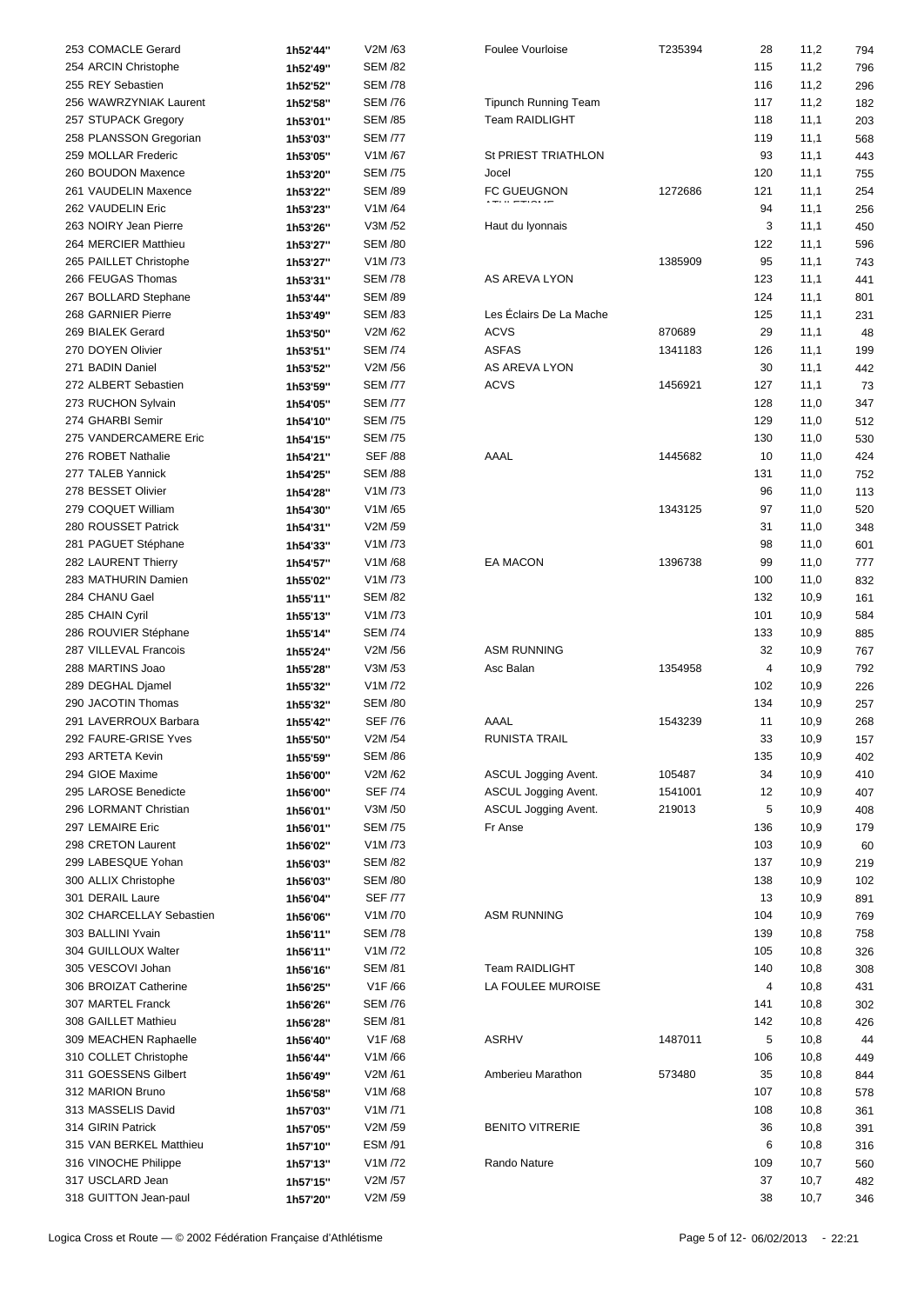| 253 COMACLE Gerard       | 1h52'44" | V2M /63                         | <b>Foulee Vourloise</b>     |
|--------------------------|----------|---------------------------------|-----------------------------|
| 254 ARCIN Christophe     | 1h52'49" | <b>SEM /82</b>                  |                             |
| 255 REY Sebastien        | 1h52'52" | <b>SEM /78</b>                  |                             |
| 256 WAWRZYNIAK Laurent   |          | <b>SEM /76</b>                  |                             |
|                          | 1h52'58" |                                 | <b>Tipunch Running Team</b> |
| 257 STUPACK Gregory      | 1h53'01" | <b>SEM /85</b>                  | <b>Team RAIDLIGHT</b>       |
| 258 PLANSSON Gregorian   | 1h53'03" | <b>SEM /77</b>                  |                             |
| 259 MOLLAR Frederic      | 1h53'05" | V1M/67                          | St PRIEST TRIATHLON         |
| 260 BOUDON Maxence       | 1h53'20" | <b>SEM /75</b>                  | Jocel                       |
| 261 VAUDELIN Maxence     | 1h53'22" | <b>SEM /89</b>                  | <b>FC GUEUGNON</b>          |
| 262 VAUDELIN Eric        | 1h53'23" | V1M/64                          |                             |
| 263 NOIRY Jean Pierre    | 1h53'26" | V3M /52                         | Haut du Iyonnais            |
| 264 MERCIER Matthieu     | 1h53'27" | <b>SEM /80</b>                  |                             |
|                          |          |                                 |                             |
| 265 PAILLET Christophe   | 1h53'27" | V1M /73                         |                             |
| 266 FEUGAS Thomas        | 1h53'31" | <b>SEM /78</b>                  | AS AREVA LYON               |
| 267 BOLLARD Stephane     | 1h53'44" | <b>SEM /89</b>                  |                             |
| 268 GARNIER Pierre       | 1h53'49" | <b>SEM /83</b>                  | Les Éclairs De La Mache     |
| 269 BIALEK Gerard        | 1h53'50" | V2M /62                         | <b>ACVS</b>                 |
| 270 DOYEN Olivier        | 1h53'51" | <b>SEM /74</b>                  | <b>ASFAS</b>                |
| 271 BADIN Daniel         | 1h53'52" | V2M /56                         | AS AREVA LYON               |
| 272 ALBERT Sebastien     | 1h53'59" | <b>SEM /77</b>                  | <b>ACVS</b>                 |
| 273 RUCHON Sylvain       | 1h54'05" | <b>SEM /77</b>                  |                             |
| 274 GHARBI Semir         |          | <b>SEM /75</b>                  |                             |
|                          | 1h54'10" |                                 |                             |
| 275 VANDERCAMERE Eric    | 1h54'15" | <b>SEM /75</b>                  |                             |
| 276 ROBET Nathalie       | 1h54'21" | <b>SEF /88</b>                  | AAAL                        |
| 277 TALEB Yannick        | 1h54'25" | <b>SEM /88</b>                  |                             |
| 278 BESSET Olivier       | 1h54'28" | V1M /73                         |                             |
| 279 COQUET William       | 1h54'30" | V1M /65                         |                             |
| 280 ROUSSET Patrick      | 1h54'31" | V2M /59                         |                             |
| 281 PAGUET Stéphane      | 1h54'33" | V1M /73                         |                             |
| 282 LAURENT Thierry      | 1h54'57" | V1M/68                          | EA MACON                    |
| 283 MATHURIN Damien      | 1h55'02" | V <sub>1</sub> M <sub>73</sub>  |                             |
| 284 CHANU Gael           | 1h55'11" | <b>SEM /82</b>                  |                             |
|                          |          |                                 |                             |
| 285 CHAIN Cyril          | 1h55'13" | V1M/73                          |                             |
| 286 ROUVIER Stéphane     | 1h55'14" | <b>SEM /74</b>                  |                             |
| 287 VILLEVAL Francois    | 1h55'24" | V2M /56                         | <b>ASM RUNNING</b>          |
| 288 MARTINS Joao         | 1h55'28" | V3M /53                         | Asc Balan                   |
| 289 DEGHAL Djamel        | 1h55'32" | V <sub>1</sub> M <sub>/72</sub> |                             |
| 290 JACOTIN Thomas       | 1h55'32" | <b>SEM /80</b>                  |                             |
| 291 LAVERROUX Barbara    | 1h55'42" | <b>SEF /76</b>                  | AAAL                        |
| 292 FAURE-GRISE Yves     | 1h55'50" | V2M /54                         | <b>RUNISTA TRAIL</b>        |
| 293 ARTETA Kevin         | 1h55'59" | <b>SEM /86</b>                  |                             |
| 294 GIOE Maxime          | 1h56'00" | V2M /62                         | ASCUL Jogging Avent.        |
| 295 LAROSE Benedicte     |          | <b>SEF /74</b>                  | ASCUL Jogging Avent.        |
|                          | 1h56'00" |                                 |                             |
| 296 LORMANT Christian    | 1h56'01" | V3M /50                         | ASCUL Jogging Avent.        |
| 297 LEMAIRE Eric         | 1h56'01" | SEM /75                         | Fr Anse                     |
| 298 CRETON Laurent       | 1h56'02" | V1M/73                          |                             |
| 299 LABESQUE Yohan       | 1h56'03" | SEM /82                         |                             |
| 300 ALLIX Christophe     | 1h56'03" | <b>SEM /80</b>                  |                             |
| 301 DERAIL Laure         | 1h56'04" | <b>SEF /77</b>                  |                             |
| 302 CHARCELLAY Sebastien | 1h56'06" | V1M /70                         | <b>ASM RUNNING</b>          |
| 303 BALLINI Yvain        | 1h56'11" | <b>SEM /78</b>                  |                             |
| 304 GUILLOUX Walter      | 1h56'11" | V1M /72                         |                             |
| 305 VESCOVI Johan        |          | <b>SEM /81</b>                  | <b>Team RAIDLIGHT</b>       |
|                          | 1h56'16" |                                 | LA FOULEE MUROISE           |
| 306 BROIZAT Catherine    | 1h56'25" | V1F/66                          |                             |
| 307 MARTEL Franck        | 1h56'26" | <b>SEM /76</b>                  |                             |
| 308 GAILLET Mathieu      | 1h56'28" | <b>SEM /81</b>                  |                             |
| 309 MEACHEN Raphaelle    | 1h56'40" | V1F/68                          | ASRHV                       |
| 310 COLLET Christophe    | 1h56'44" | V1M /66                         |                             |
| 311 GOESSENS Gilbert     | 1h56'49" | V2M /61                         | Amberieu Marathon           |
| 312 MARION Bruno         | 1h56'58" | V1M /68                         |                             |
| 313 MASSELIS David       | 1h57'03" | V1M /71                         |                             |
| 314 GIRIN Patrick        | 1h57'05" | V2M /59                         | <b>BENITO VITRERIE</b>      |
| 315 VAN BERKEL Matthieu  |          | ESM /91                         |                             |
|                          | 1h57'10" |                                 | Rando Nature                |
| 316 VINOCHE Philippe     | 1h57'13" | V1M /72                         |                             |
| 317 USCLARD Jean         | 1h57'15" | V2M /57                         |                             |
| 318 GUITTON Jean-paul    | 1h57'20" | V2M /59                         |                             |

| 253 COMACLE Gerard       | 1h52'44" | V2M /63                         | <b>Foulee Vourloise</b>     | T235394 | 28       | 11,2         | 794 |  |
|--------------------------|----------|---------------------------------|-----------------------------|---------|----------|--------------|-----|--|
| 254 ARCIN Christophe     | 1h52'49" | <b>SEM /82</b>                  |                             |         | 115      | 11,2         | 796 |  |
| 255 REY Sebastien        | 1h52'52" | <b>SEM /78</b>                  |                             |         | 116      | 11,2         | 296 |  |
| 256 WAWRZYNIAK Laurent   | 1h52'58" | <b>SEM /76</b>                  | <b>Tipunch Running Team</b> |         | 117      | 11,2         | 182 |  |
| 257 STUPACK Gregory      | 1h53'01" | <b>SEM /85</b>                  | <b>Team RAIDLIGHT</b>       |         | 118      | 11,1         | 203 |  |
| 258 PLANSSON Gregorian   | 1h53'03" | <b>SEM /77</b>                  |                             |         | 119      | 11,1         | 568 |  |
| 259 MOLLAR Frederic      | 1h53'05" | V1M/67                          | St PRIEST TRIATHLON         |         | 93       | 11,1         | 443 |  |
| 260 BOUDON Maxence       | 1h53'20" | <b>SEM /75</b>                  | Jocel                       |         | 120      | 11,1         | 755 |  |
| 261 VAUDELIN Maxence     | 1h53'22" | <b>SEM /89</b>                  | FC GUEUGNON                 | 1272686 | 121      | 11,1         | 254 |  |
| 262 VAUDELIN Eric        | 1h53'23" | V1M/64                          |                             |         | 94       | 11,1         | 256 |  |
| 263 NOIRY Jean Pierre    | 1h53'26" | V3M /52                         | Haut du Iyonnais            |         | 3        | 11,1         | 450 |  |
| 264 MERCIER Matthieu     | 1h53'27" | <b>SEM /80</b>                  |                             |         | 122      | 11,1         | 596 |  |
| 265 PAILLET Christophe   | 1h53'27" | V1M/73                          |                             | 1385909 | 95       | 11,1         | 743 |  |
| 266 FEUGAS Thomas        | 1h53'31" | <b>SEM /78</b>                  | AS AREVA LYON               |         | 123      | 11,1         | 441 |  |
| 267 BOLLARD Stephane     | 1h53'44" | <b>SEM /89</b>                  |                             |         | 124      | 11,1         | 801 |  |
| 268 GARNIER Pierre       | 1h53'49" | <b>SEM /83</b>                  | Les Éclairs De La Mache     |         | 125      | 11,1         | 231 |  |
| 269 BIALEK Gerard        | 1h53'50" | V2M /62                         | <b>ACVS</b>                 | 870689  | 29       | 11,1         | 48  |  |
| 270 DOYEN Olivier        | 1h53'51" | <b>SEM /74</b>                  | <b>ASFAS</b>                | 1341183 | 126      | 11,1         | 199 |  |
| 271 BADIN Daniel         | 1h53'52" | V2M /56                         | AS AREVA LYON               |         | 30       | 11,1         | 442 |  |
| 272 ALBERT Sebastien     | 1h53'59" | <b>SEM /77</b>                  | <b>ACVS</b>                 | 1456921 | 127      | 11,1         | 73  |  |
| 273 RUCHON Sylvain       | 1h54'05" | <b>SEM /77</b>                  |                             |         | 128      | 11,0         | 347 |  |
| 274 GHARBI Semir         | 1h54'10" | <b>SEM /75</b>                  |                             |         | 129      | 11,0         | 512 |  |
| 275 VANDERCAMERE Eric    | 1h54'15" | <b>SEM /75</b>                  |                             |         | 130      | 11,0         | 530 |  |
| 276 ROBET Nathalie       | 1h54'21" | <b>SEF /88</b>                  | AAAL                        | 1445682 | 10       | 11,0         | 424 |  |
| 277 TALEB Yannick        | 1h54'25" | <b>SEM /88</b>                  |                             |         | 131      | 11,0         | 752 |  |
| 278 BESSET Olivier       | 1h54'28" | V1M/73                          |                             |         | 96       | 11,0         | 113 |  |
| 279 COQUET William       | 1h54'30" | V1M/65                          |                             | 1343125 | 97       | 11,0         | 520 |  |
| 280 ROUSSET Patrick      |          | V2M /59                         |                             |         |          |              |     |  |
| 281 PAGUET Stéphane      | 1h54'31" | V <sub>1</sub> M <sub>/73</sub> |                             |         | 31<br>98 | 11,0<br>11,0 | 348 |  |
| 282 LAURENT Thierry      | 1h54'33" | V1M/68                          | EA MACON                    | 1396738 | 99       |              | 601 |  |
| 283 MATHURIN Damien      | 1h54'57" | V1M/73                          |                             |         | 100      | 11,0         | 777 |  |
|                          | 1h55'02" |                                 |                             |         | 132      | 11,0         | 832 |  |
| 284 CHANU Gael           | 1h55'11" | <b>SEM /82</b>                  |                             |         |          | 10,9         | 161 |  |
| 285 CHAIN Cyril          | 1h55'13" | V1M/73                          |                             |         | 101      | 10,9         | 584 |  |
| 286 ROUVIER Stéphane     | 1h55'14" | <b>SEM /74</b>                  |                             |         | 133      | 10,9         | 885 |  |
| 287 VILLEVAL Francois    | 1h55'24" | V2M /56                         | <b>ASM RUNNING</b>          |         | 32       | 10,9         | 767 |  |
| 288 MARTINS Joao         | 1h55'28" | V3M /53                         | Asc Balan                   | 1354958 | 4        | 10,9         | 792 |  |
| 289 DEGHAL Djamel        | 1h55'32" | V1M /72                         |                             |         | 102      | 10,9         | 226 |  |
| 290 JACOTIN Thomas       | 1h55'32" | <b>SEM /80</b>                  |                             |         | 134      | 10,9         | 257 |  |
| 291 LAVERROUX Barbara    | 1h55'42" | <b>SEF /76</b>                  | AAAL                        | 1543239 | 11       | 10,9         | 268 |  |
| 292 FAURE-GRISE Yves     | 1h55'50" | V2M /54                         | RUNISTA TRAIL               |         | 33       | 10,9         | 157 |  |
| 293 ARTETA Kevin         | 1h55'59" | <b>SEM /86</b>                  |                             |         | 135      | 10,9         | 402 |  |
| 294 GIOE Maxime          | 1h56'00" | V2M /62                         | ASCUL Jogging Avent.        | 105487  | 34       | 10,9         | 410 |  |
| 295 LAROSE Benedicte     | 1h56'00" | <b>SEF /74</b>                  | ASCUL Jogging Avent.        | 1541001 | 12       | 10,9         | 407 |  |
| 296 LORMANT Christian    | 1h56'01" | V3M /50                         | ASCUL Jogging Avent.        | 219013  | 5        | 10,9         | 408 |  |
| 297 LEMAIRE Eric         | 1h56'01" | <b>SEM /75</b>                  | Fr Anse                     |         | 136      | 10,9         | 179 |  |
| 298 CRETON Laurent       | 1h56'02" | V1M/73                          |                             |         | 103      | 10,9         | 60  |  |
| 299 LABESQUE Yohan       | 1h56'03" | <b>SEM /82</b>                  |                             |         | 137      | 10,9         | 219 |  |
| 300 ALLIX Christophe     | 1h56'03" | <b>SEM /80</b>                  |                             |         | 138      | 10,9         | 102 |  |
| 301 DERAIL Laure         | 1h56'04" | <b>SEF /77</b>                  |                             |         | 13       | 10,9         | 891 |  |
| 302 CHARCELLAY Sebastien | 1h56'06" | V1M /70                         | <b>ASM RUNNING</b>          |         | 104      | 10,9         | 769 |  |
| 303 BALLINI Yvain        | 1h56'11" | <b>SEM /78</b>                  |                             |         | 139      | 10,8         | 758 |  |
| 304 GUILLOUX Walter      | 1h56'11" | V1M /72                         |                             |         | 105      | 10,8         | 326 |  |
| 305 VESCOVI Johan        | 1h56'16" | <b>SEM /81</b>                  | <b>Team RAIDLIGHT</b>       |         | 140      | 10,8         | 308 |  |
| 306 BROIZAT Catherine    | 1h56'25" | V1F/66                          | LA FOULEE MUROISE           |         | 4        | 10,8         | 431 |  |
| 307 MARTEL Franck        | 1h56'26" | <b>SEM /76</b>                  |                             |         | 141      | 10,8         | 302 |  |
| 308 GAILLET Mathieu      | 1h56'28" | <b>SEM /81</b>                  |                             |         | 142      | 10,8         | 426 |  |
| 309 MEACHEN Raphaelle    | 1h56'40" | V1F/68                          | <b>ASRHV</b>                | 1487011 | 5        | 10,8         | 44  |  |
| 310 COLLET Christophe    | 1h56'44" | V1M/66                          |                             |         | 106      | 10,8         | 449 |  |
| 311 GOESSENS Gilbert     | 1h56'49" | V2M /61                         | Amberieu Marathon           | 573480  | 35       | 10,8         | 844 |  |
| 312 MARION Bruno         | 1h56'58" | V1M/68                          |                             |         | 107      | 10,8         | 578 |  |
| 313 MASSELIS David       | 1h57'03" | V1M/71                          |                             |         | 108      | 10,8         | 361 |  |
| 314 GIRIN Patrick        | 1h57'05" | V2M /59                         | <b>BENITO VITRERIE</b>      |         | 36       | 10,8         | 391 |  |
| 315 VAN BERKEL Matthieu  | 1h57'10" | ESM /91                         |                             |         | 6        | 10,8         | 316 |  |
| 316 VINOCHE Philippe     | 1h57'13" | V1M /72                         | Rando Nature                |         | 109      | 10,7         | 560 |  |
| 317 USCLARD Jean         | 1h57'15" | V2M /57                         |                             |         | 37       | 10,7         | 482 |  |
| 318 GUITTON Jean-paul    | 1h57'20" | V2M /59                         |                             |         | 38       | 10,7         | 346 |  |
|                          |          |                                 |                             |         |          |              |     |  |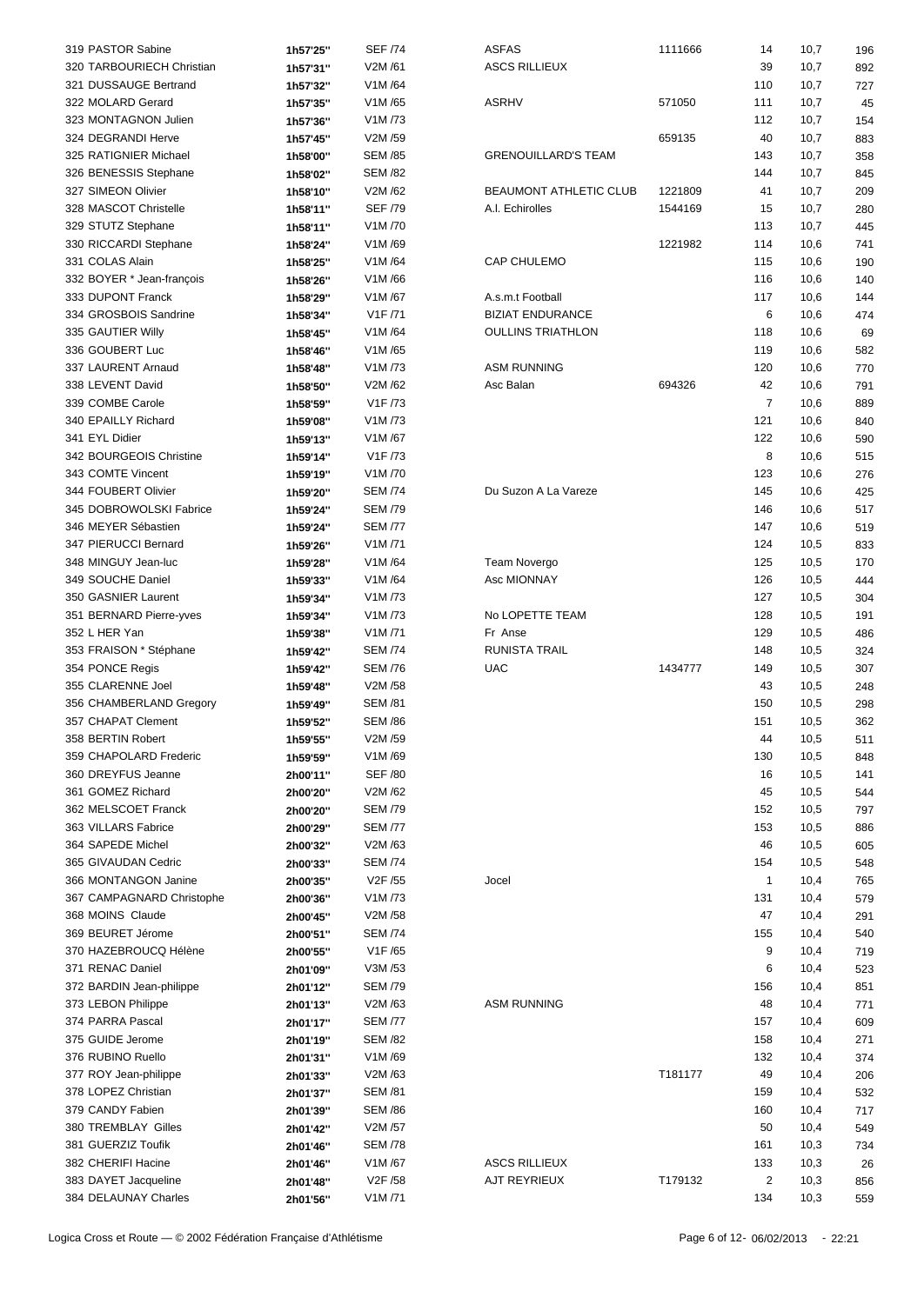| 319 PASTOR Sabine         | 1h57'25" | <b>SEF /74</b> | <b>ASFAS</b>               | 1111666 | 14             | 10,7 | 196 |
|---------------------------|----------|----------------|----------------------------|---------|----------------|------|-----|
| 320 TARBOURIECH Christian | 1h57'31" | V2M /61        | <b>ASCS RILLIEUX</b>       |         | 39             | 10,7 | 892 |
| 321 DUSSAUGE Bertrand     |          | V1M/64         |                            |         | 110            |      | 727 |
|                           | 1h57'32" |                |                            |         |                | 10,7 |     |
| 322 MOLARD Gerard         | 1h57'35" | V1M/65         | <b>ASRHV</b>               | 571050  | 111            | 10,7 | 45  |
| 323 MONTAGNON Julien      | 1h57'36" | V1M /73        |                            |         | 112            | 10,7 | 154 |
| 324 DEGRANDI Herve        | 1h57'45" | V2M /59        |                            | 659135  | 40             | 10,7 | 883 |
| 325 RATIGNIER Michael     | 1h58'00" | <b>SEM /85</b> | <b>GRENOUILLARD'S TEAM</b> |         | 143            | 10,7 | 358 |
| 326 BENESSIS Stephane     | 1h58'02" | <b>SEM /82</b> |                            |         | 144            | 10,7 | 845 |
| 327 SIMEON Olivier        | 1h58'10" | V2M /62        | BEAUMONT ATHLETIC CLUB     | 1221809 | 41             | 10,7 | 209 |
| 328 MASCOT Christelle     | 1h58'11" | <b>SEF /79</b> | A.I. Echirolles            | 1544169 | 15             | 10,7 | 280 |
| 329 STUTZ Stephane        | 1h58'11" | V1M/70         |                            |         | 113            | 10,7 | 445 |
|                           |          | V1M/69         |                            | 1221982 | 114            | 10,6 |     |
| 330 RICCARDI Stephane     | 1h58'24" |                |                            |         |                |      | 741 |
| 331 COLAS Alain           | 1h58'25" | V1M/64         | CAP CHULEMO                |         | 115            | 10,6 | 190 |
| 332 BOYER * Jean-françois | 1h58'26" | V1M /66        |                            |         | 116            | 10,6 | 140 |
| 333 DUPONT Franck         | 1h58'29" | V1M/67         | A.s.m.t Football           |         | 117            | 10,6 | 144 |
| 334 GROSBOIS Sandrine     | 1h58'34" | V1F /71        | <b>BIZIAT ENDURANCE</b>    |         | 6              | 10,6 | 474 |
| 335 GAUTIER Willy         | 1h58'45" | V1M/64         | <b>OULLINS TRIATHLON</b>   |         | 118            | 10,6 | 69  |
| 336 GOUBERT Luc           | 1h58'46" | V1M/65         |                            |         | 119            | 10,6 | 582 |
| 337 LAURENT Arnaud        | 1h58'48" | V1M /73        | <b>ASM RUNNING</b>         |         | 120            | 10,6 | 770 |
| 338 LEVENT David          | 1h58'50" | V2M /62        | Asc Balan                  | 694326  | 42             | 10,6 | 791 |
| 339 COMBE Carole          |          | V1F /73        |                            |         | $\overline{7}$ | 10,6 | 889 |
|                           | 1h58'59" |                |                            |         |                |      |     |
| 340 EPAILLY Richard       | 1h59'08" | V1M /73        |                            |         | 121            | 10,6 | 840 |
| 341 EYL Didier            | 1h59'13" | V1M/67         |                            |         | 122            | 10,6 | 590 |
| 342 BOURGEOIS Christine   | 1h59'14" | V1F /73        |                            |         | 8              | 10,6 | 515 |
| 343 COMTE Vincent         | 1h59'19" | V1M/70         |                            |         | 123            | 10,6 | 276 |
| 344 FOUBERT Olivier       | 1h59'20" | <b>SEM /74</b> | Du Suzon A La Vareze       |         | 145            | 10,6 | 425 |
| 345 DOBROWOLSKI Fabrice   | 1h59'24" | <b>SEM /79</b> |                            |         | 146            | 10,6 | 517 |
| 346 MEYER Sébastien       | 1h59'24" | <b>SEM /77</b> |                            |         | 147            | 10,6 | 519 |
| 347 PIERUCCI Bernard      | 1h59'26" | V1M/71         |                            |         | 124            | 10,5 | 833 |
| 348 MINGUY Jean-luc       | 1h59'28" | V1M/64         | Team Novergo               |         | 125            | 10,5 | 170 |
|                           |          |                |                            |         |                |      |     |
| 349 SOUCHE Daniel         | 1h59'33" | V1M/64         | Asc MIONNAY                |         | 126            | 10,5 | 444 |
| 350 GASNIER Laurent       | 1h59'34" | V1M /73        |                            |         | 127            | 10,5 | 304 |
| 351 BERNARD Pierre-yves   | 1h59'34" | V1M /73        | No LOPETTE TEAM            |         | 128            | 10,5 | 191 |
| 352 L HER Yan             | 1h59'38" | V1M/71         | Fr Anse                    |         | 129            | 10,5 | 486 |
| 353 FRAISON * Stéphane    | 1h59'42" | <b>SEM /74</b> | <b>RUNISTA TRAIL</b>       |         | 148            | 10,5 | 324 |
| 354 PONCE Regis           | 1h59'42" | <b>SEM /76</b> | <b>UAC</b>                 | 1434777 | 149            | 10,5 | 307 |
| 355 CLARENNE Joel         | 1h59'48" | V2M /58        |                            |         | 43             | 10,5 | 248 |
| 356 CHAMBERLAND Gregory   | 1h59'49" | <b>SEM /81</b> |                            |         | 150            | 10,5 | 298 |
| 357 CHAPAT Clement        | 1h59'52" | <b>SEM /86</b> |                            |         | 151            | 10,5 | 362 |
| 358 BERTIN Robert         |          |                |                            |         |                |      |     |
|                           | 1h59'55" | V2M /59        |                            |         | 44             | 10,5 | 511 |
| 359 CHAPOLARD Frederic    | 1h59'59" | V1M/69         |                            |         | 130            | 10,5 | 848 |
| 360 DREYFUS Jeanne        | 2h00'11" | <b>SEF /80</b> |                            |         | 16             | 10,5 | 141 |
| 361 GOMEZ Richard         | 2h00'20" | V2M /62        |                            |         | 45             | 10,5 | 544 |
| 362 MELSCOET Franck       | 2h00'20" | <b>SEM /79</b> |                            |         | 152            | 10,5 | 797 |
| 363 VILLARS Fabrice       | 2h00'29" | <b>SEM /77</b> |                            |         | 153            | 10,5 | 886 |
| 364 SAPEDE Michel         | 2h00'32" | V2M /63        |                            |         | 46             | 10,5 | 605 |
| 365 GIVAUDAN Cedric       | 2h00'33" | <b>SEM /74</b> |                            |         | 154            | 10,5 | 548 |
| 366 MONTANGON Janine      | 2h00'35" | V2F /55        | Jocel                      |         | $\mathbf{1}$   | 10,4 | 765 |
| 367 CAMPAGNARD Christophe |          | V1M/73         |                            |         |                |      |     |
|                           | 2h00'36" |                |                            |         | 131            | 10,4 | 579 |
| 368 MOINS Claude          | 2h00'45" | V2M /58        |                            |         | 47             | 10,4 | 291 |
| 369 BEURET Jérome         | 2h00'51" | <b>SEM /74</b> |                            |         | 155            | 10,4 | 540 |
| 370 HAZEBROUCQ Hélène     | 2h00'55" | V1F /65        |                            |         | 9              | 10,4 | 719 |
| 371 RENAC Daniel          | 2h01'09" | V3M /53        |                            |         | 6              | 10,4 | 523 |
| 372 BARDIN Jean-philippe  | 2h01'12" | <b>SEM /79</b> |                            |         | 156            | 10,4 | 851 |
| 373 LEBON Philippe        | 2h01'13" | V2M /63        | <b>ASM RUNNING</b>         |         | 48             | 10,4 | 771 |
| 374 PARRA Pascal          | 2h01'17" | <b>SEM /77</b> |                            |         | 157            | 10,4 | 609 |
| 375 GUIDE Jerome          | 2h01'19" | <b>SEM /82</b> |                            |         | 158            | 10,4 | 271 |
|                           |          |                |                            |         |                |      |     |
| 376 RUBINO Ruello         | 2h01'31" | V1M/69         |                            |         | 132            | 10,4 | 374 |
| 377 ROY Jean-philippe     | 2h01'33" | V2M /63        |                            | T181177 | 49             | 10,4 | 206 |
| 378 LOPEZ Christian       | 2h01'37" | <b>SEM /81</b> |                            |         | 159            | 10,4 | 532 |
| 379 CANDY Fabien          | 2h01'39" | <b>SEM /86</b> |                            |         | 160            | 10,4 | 717 |
| 380 TREMBLAY Gilles       | 2h01'42" | V2M /57        |                            |         | 50             | 10,4 | 549 |
| 381 GUERZIZ Toufik        | 2h01'46" | <b>SEM /78</b> |                            |         | 161            | 10,3 | 734 |
| 382 CHERIFI Hacine        | 2h01'46" | V1M/67         | <b>ASCS RILLIEUX</b>       |         | 133            | 10,3 | 26  |
| 383 DAYET Jacqueline      | 2h01'48" | V2F /58        | AJT REYRIEUX               | T179132 | $\overline{2}$ | 10,3 | 856 |
| 384 DELAUNAY Charles      | 2h01'56" | V1M/71         |                            |         | 134            | 10,3 | 559 |
|                           |          |                |                            |         |                |      |     |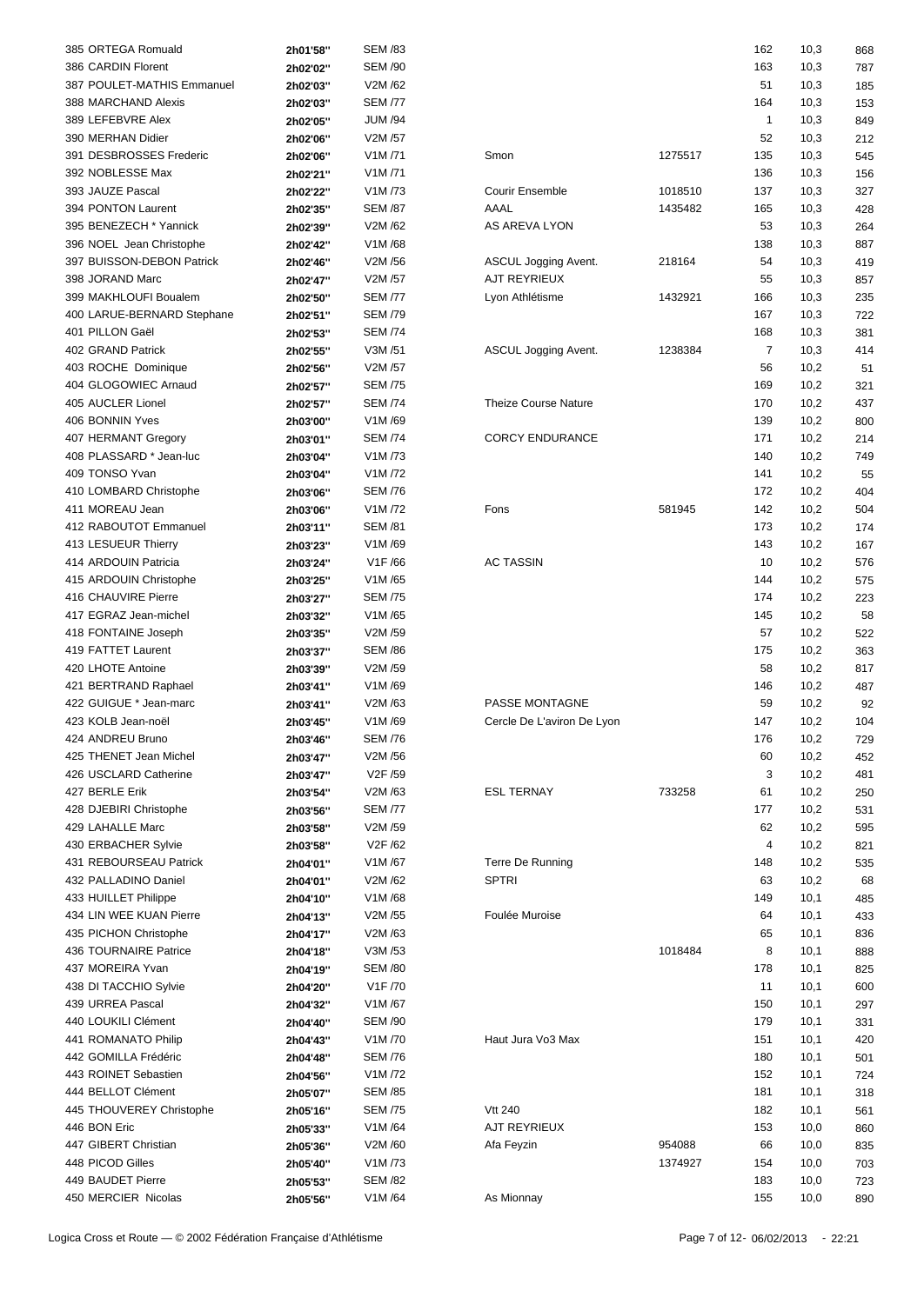| 385 ORTEGA Romuald         | 2h01'58" | <b>SEM /83</b>       |                            |         | 162            | 10,3 | 868 |
|----------------------------|----------|----------------------|----------------------------|---------|----------------|------|-----|
| 386 CARDIN Florent         | 2h02'02" | <b>SEM /90</b>       |                            |         | 163            | 10,3 | 787 |
| 387 POULET-MATHIS Emmanuel | 2h02'03" | V2M /62              |                            |         | 51             | 10,3 | 185 |
| 388 MARCHAND Alexis        | 2h02'03" | <b>SEM /77</b>       |                            |         | 164            | 10,3 | 153 |
| 389 LEFEBVRE Alex          | 2h02'05" | <b>JUM /94</b>       |                            |         | $\mathbf{1}$   | 10,3 | 849 |
| 390 MERHAN Didier          |          | V2M /57              |                            |         | 52             | 10,3 | 212 |
| 391 DESBROSSES Frederic    | 2h02'06" | V1M/71               | Smon                       | 1275517 | 135            | 10,3 |     |
|                            | 2h02'06" |                      |                            |         |                |      | 545 |
| 392 NOBLESSE Max           | 2h02'21" | V1M/71               |                            |         | 136            | 10,3 | 156 |
| 393 JAUZE Pascal           | 2h02'22" | V1M/73               | Courir Ensemble            | 1018510 | 137            | 10,3 | 327 |
| 394 PONTON Laurent         | 2h02'35" | <b>SEM /87</b>       | AAAL                       | 1435482 | 165            | 10,3 | 428 |
| 395 BENEZECH * Yannick     | 2h02'39" | V2M/62               | AS AREVA LYON              |         | 53             | 10,3 | 264 |
| 396 NOEL Jean Christophe   | 2h02'42" | V1M/68               |                            |         | 138            | 10,3 | 887 |
| 397 BUISSON-DEBON Patrick  | 2h02'46" | V2M /56              | ASCUL Jogging Avent.       | 218164  | 54             | 10,3 | 419 |
| 398 JORAND Marc            | 2h02'47" | V2M /57              | AJT REYRIEUX               |         | 55             | 10,3 | 857 |
| 399 MAKHLOUFI Boualem      | 2h02'50" | <b>SEM /77</b>       | Lyon Athlétisme            | 1432921 | 166            | 10,3 | 235 |
| 400 LARUE-BERNARD Stephane | 2h02'51" | <b>SEM /79</b>       |                            |         | 167            | 10,3 | 722 |
| 401 PILLON Gaël            | 2h02'53" | <b>SEM /74</b>       |                            |         | 168            | 10,3 | 381 |
|                            |          |                      |                            |         |                |      |     |
| 402 GRAND Patrick          | 2h02'55" | V3M /51              | ASCUL Jogging Avent.       | 1238384 | $\overline{7}$ | 10,3 | 414 |
| 403 ROCHE Dominique        | 2h02'56" | V2M /57              |                            |         | 56             | 10,2 | 51  |
| 404 GLOGOWIEC Arnaud       | 2h02'57" | <b>SEM /75</b>       |                            |         | 169            | 10,2 | 321 |
| 405 AUCLER Lionel          | 2h02'57" | <b>SEM /74</b>       | Theize Course Nature       |         | 170            | 10,2 | 437 |
| 406 BONNIN Yves            | 2h03'00" | V1M/69               |                            |         | 139            | 10,2 | 800 |
| 407 HERMANT Gregory        | 2h03'01" | <b>SEM /74</b>       | <b>CORCY ENDURANCE</b>     |         | 171            | 10,2 | 214 |
| 408 PLASSARD * Jean-luc    | 2h03'04" | V1M /73              |                            |         | 140            | 10,2 | 749 |
| 409 TONSO Yvan             | 2h03'04" | V1M/72               |                            |         | 141            | 10,2 | 55  |
| 410 LOMBARD Christophe     | 2h03'06" | <b>SEM /76</b>       |                            |         | 172            | 10,2 | 404 |
| 411 MOREAU Jean            | 2h03'06" | V1M/72               | Fons                       | 581945  | 142            | 10,2 | 504 |
| 412 RABOUTOT Emmanuel      | 2h03'11" | <b>SEM /81</b>       |                            |         | 173            | 10,2 | 174 |
| 413 LESUEUR Thierry        |          | V1M/69               |                            |         | 143            |      |     |
|                            | 2h03'23" |                      |                            |         |                | 10,2 | 167 |
| 414 ARDOUIN Patricia       | 2h03'24" | V1F/66               | <b>AC TASSIN</b>           |         | 10             | 10,2 | 576 |
| 415 ARDOUIN Christophe     | 2h03'25" | V1M/65               |                            |         | 144            | 10,2 | 575 |
| 416 CHAUVIRE Pierre        | 2h03'27" | <b>SEM /75</b>       |                            |         | 174            | 10,2 | 223 |
| 417 EGRAZ Jean-michel      | 2h03'32" | V1M/65               |                            |         | 145            | 10,2 | 58  |
| 418 FONTAINE Joseph        | 2h03'35" | V2M /59              |                            |         | 57             | 10,2 | 522 |
| 419 FATTET Laurent         | 2h03'37" | <b>SEM /86</b>       |                            |         | 175            | 10,2 | 363 |
| 420 LHOTE Antoine          | 2h03'39" | V2M /59              |                            |         | 58             | 10,2 | 817 |
| 421 BERTRAND Raphael       | 2h03'41" | V1M/69               |                            |         | 146            | 10,2 | 487 |
| 422 GUIGUE * Jean-marc     | 2h03'41" | V2M /63              | PASSE MONTAGNE             |         | 59             | 10,2 | 92  |
| 423 KOLB Jean-noël         | 2h03'45" | V1M/69               | Cercle De L'aviron De Lyon |         | 147            | 10,2 | 104 |
| 424 ANDREU Bruno           | 2h03'46" | <b>SEM /76</b>       |                            |         | 176            | 10,2 | 729 |
| 425 THENET Jean Michel     |          | V2M /56              |                            |         | 60             |      |     |
|                            | 2h03'47" |                      |                            |         |                | 10,2 | 452 |
| 426 USCLARD Catherine      | 2h03'47" | V <sub>2</sub> F /59 |                            |         | 3              | 10,2 | 481 |
| 427 BERLE Erik             | 2h03'54" | V2M/63               | <b>ESL TERNAY</b>          | 733258  | 61             | 10,2 | 250 |
| 428 DJEBIRI Christophe     | 2h03'56" | <b>SEM /77</b>       |                            |         | 177            | 10,2 | 531 |
| 429 LAHALLE Marc           | 2h03'58" | V2M /59              |                            |         | 62             | 10,2 | 595 |
| 430 ERBACHER Sylvie        | 2h03'58" | V2F /62              |                            |         | $\overline{4}$ | 10,2 | 821 |
| 431 REBOURSEAU Patrick     | 2h04'01" | V1M/67               | Terre De Running           |         | 148            | 10,2 | 535 |
| 432 PALLADINO Daniel       | 2h04'01" | V2M /62              | <b>SPTRI</b>               |         | 63             | 10,2 | 68  |
| 433 HUILLET Philippe       | 2h04'10" | V1M/68               |                            |         | 149            | 10,1 | 485 |
| 434 LIN WEE KUAN Pierre    | 2h04'13" | V2M /55              | Foulée Muroise             |         | 64             | 10,1 | 433 |
| 435 PICHON Christophe      | 2h04'17" | V2M /63              |                            |         | 65             | 10,1 | 836 |
| 436 TOURNAIRE Patrice      | 2h04'18" | V3M /53              |                            | 1018484 | 8              | 10,1 | 888 |
| 437 MOREIRA Yvan           |          | <b>SEM /80</b>       |                            |         | 178            |      |     |
|                            | 2h04'19" |                      |                            |         |                | 10,1 | 825 |
| 438 DI TACCHIO Sylvie      | 2h04'20" | V1F /70              |                            |         | 11             | 10,1 | 600 |
| 439 URREA Pascal           | 2h04'32" | V1M/67               |                            |         | 150            | 10,1 | 297 |
| 440 LOUKILI Clément        | 2h04'40" | <b>SEM /90</b>       |                            |         | 179            | 10,1 | 331 |
| 441 ROMANATO Philip        | 2h04'43" | V1M /70              | Haut Jura Vo3 Max          |         | 151            | 10,1 | 420 |
| 442 GOMILLA Frédéric       | 2h04'48" | <b>SEM /76</b>       |                            |         | 180            | 10,1 | 501 |
| 443 ROINET Sebastien       | 2h04'56" | V1M /72              |                            |         | 152            | 10,1 | 724 |
| 444 BELLOT Clément         | 2h05'07" | <b>SEM /85</b>       |                            |         | 181            | 10,1 | 318 |
| 445 THOUVEREY Christophe   | 2h05'16" | <b>SEM /75</b>       | Vtt 240                    |         | 182            | 10,1 | 561 |
| 446 BON Eric               | 2h05'33" | V1M/64               | AJT REYRIEUX               |         | 153            | 10,0 | 860 |
| 447 GIBERT Christian       | 2h05'36" | V2M /60              | Afa Feyzin                 | 954088  | 66             | 10,0 | 835 |
| 448 PICOD Gilles           |          | V1M /73              |                            | 1374927 | 154            | 10,0 |     |
|                            | 2h05'40" |                      |                            |         |                |      | 703 |
| 449 BAUDET Pierre          | 2h05'53" | <b>SEM /82</b>       |                            |         | 183            | 10,0 | 723 |
| 450 MERCIER Nicolas        | 2h05'56" | V1M/64               | As Mionnay                 |         | 155            | 10,0 | 890 |
|                            |          |                      |                            |         |                |      |     |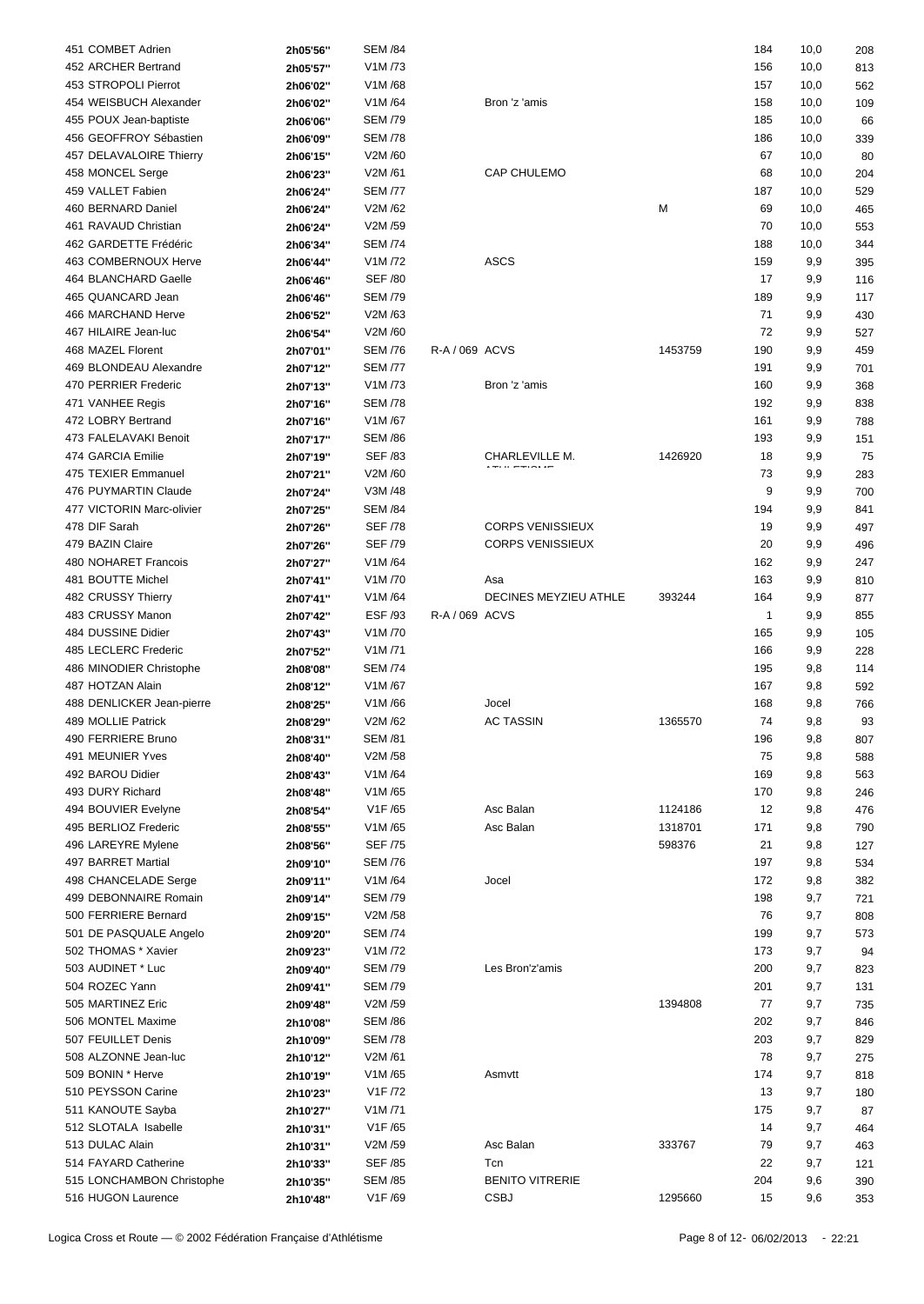| 451 COMBET Adrien         | 2h05'56" | <b>SEM /84</b> |                |                         |         | 184            | 10,0 | 208 |
|---------------------------|----------|----------------|----------------|-------------------------|---------|----------------|------|-----|
| 452 ARCHER Bertrand       | 2h05'57" | V1M/73         |                |                         |         | 156            | 10,0 | 813 |
|                           |          |                |                |                         |         |                |      |     |
| 453 STROPOLI Pierrot      | 2h06'02" | V1M/68         |                |                         |         | 157            | 10,0 | 562 |
| 454 WEISBUCH Alexander    | 2h06'02" | V1M/64         |                | Bron 'z 'amis           |         | 158            | 10,0 | 109 |
| 455 POUX Jean-baptiste    | 2h06'06" | <b>SEM /79</b> |                |                         |         | 185            | 10,0 | 66  |
| 456 GEOFFROY Sébastien    | 2h06'09" | <b>SEM /78</b> |                |                         |         | 186            | 10,0 | 339 |
| 457 DELAVALOIRE Thierry   | 2h06'15" | V2M /60        |                |                         |         | 67             | 10,0 | 80  |
| 458 MONCEL Serge          | 2h06'23" | V2M/61         |                | <b>CAP CHULEMO</b>      |         | 68             | 10,0 | 204 |
| 459 VALLET Fabien         | 2h06'24" | <b>SEM /77</b> |                |                         |         | 187            | 10,0 | 529 |
| 460 BERNARD Daniel        | 2h06'24" | V2M /62        |                |                         | M       | 69             | 10,0 | 465 |
| 461 RAVAUD Christian      | 2h06'24" | V2M /59        |                |                         |         | 70             | 10,0 | 553 |
| 462 GARDETTE Frédéric     |          | <b>SEM /74</b> |                |                         |         | 188            |      |     |
|                           | 2h06'34" |                |                |                         |         |                | 10,0 | 344 |
| 463 COMBERNOUX Herve      | 2h06'44" | V1M/72         |                | <b>ASCS</b>             |         | 159            | 9,9  | 395 |
| 464 BLANCHARD Gaelle      | 2h06'46" | <b>SEF /80</b> |                |                         |         | 17             | 9,9  | 116 |
| 465 QUANCARD Jean         | 2h06'46" | <b>SEM /79</b> |                |                         |         | 189            | 9,9  | 117 |
| 466 MARCHAND Herve        | 2h06'52" | V2M /63        |                |                         |         | 71             | 9,9  | 430 |
| 467 HILAIRE Jean-luc      | 2h06'54" | V2M /60        |                |                         |         | 72             | 9,9  | 527 |
| 468 MAZEL Florent         | 2h07'01" | <b>SEM /76</b> | R-A / 069 ACVS |                         | 1453759 | 190            | 9,9  | 459 |
| 469 BLONDEAU Alexandre    | 2h07'12" | <b>SEM /77</b> |                |                         |         | 191            | 9,9  | 701 |
| 470 PERRIER Frederic      | 2h07'13" | V1M/73         |                | Bron 'z 'amis           |         | 160            | 9,9  | 368 |
| 471 VANHEE Regis          | 2h07'16" | <b>SEM /78</b> |                |                         |         | 192            | 9,9  | 838 |
|                           |          |                |                |                         |         |                |      |     |
| 472 LOBRY Bertrand        | 2h07'16" | V1M/67         |                |                         |         | 161            | 9,9  | 788 |
| 473 FALELAVAKI Benoit     | 2h07'17" | <b>SEM /86</b> |                |                         |         | 193            | 9,9  | 151 |
| 474 GARCIA Emilie         | 2h07'19" | <b>SEF /83</b> |                | CHARLEVILLE M.          | 1426920 | 18             | 9,9  | 75  |
| 475 TEXIER Emmanuel       | 2h07'21" | V2M /60        |                |                         |         | 73             | 9,9  | 283 |
| 476 PUYMARTIN Claude      | 2h07'24" | V3M /48        |                |                         |         | 9              | 9,9  | 700 |
| 477 VICTORIN Marc-olivier | 2h07'25" | <b>SEM /84</b> |                |                         |         | 194            | 9,9  | 841 |
| 478 DIF Sarah             | 2h07'26" | <b>SEF /78</b> |                | <b>CORPS VENISSIEUX</b> |         | 19             | 9,9  | 497 |
| 479 BAZIN Claire          | 2h07'26" | <b>SEF /79</b> |                | <b>CORPS VENISSIEUX</b> |         | 20             | 9,9  | 496 |
| 480 NOHARET Francois      | 2h07'27" | V1M/64         |                |                         |         | 162            | 9,9  | 247 |
| 481 BOUTTE Michel         |          | V1M/70         |                | Asa                     |         | 163            | 9,9  | 810 |
|                           | 2h07'41" |                |                |                         |         |                |      |     |
| 482 CRUSSY Thierry        | 2h07'41" | V1M/64         |                | DECINES MEYZIEU ATHLE   | 393244  | 164            | 9,9  | 877 |
| 483 CRUSSY Manon          | 2h07'42" | <b>ESF /93</b> | R-A / 069 ACVS |                         |         | $\overline{1}$ | 9,9  | 855 |
| 484 DUSSINE Didier        | 2h07'43" | V1M/70         |                |                         |         | 165            | 9,9  | 105 |
| 485 LECLERC Frederic      | 2h07'52" | V1M/71         |                |                         |         | 166            | 9,9  | 228 |
| 486 MINODIER Christophe   | 2h08'08" | <b>SEM /74</b> |                |                         |         | 195            | 9,8  | 114 |
| 487 HOTZAN Alain          | 2h08'12" | V1M/67         |                |                         |         | 167            | 9,8  | 592 |
| 488 DENLICKER Jean-pierre | 2h08'25" | V1M/66         |                | Jocel                   |         | 168            | 9,8  | 766 |
| 489 MOLLIE Patrick        | 2h08'29" | V2M/62         |                | <b>AC TASSIN</b>        | 1365570 | 74             | 9,8  | 93  |
| 490 FERRIERE Bruno        |          | <b>SEM /81</b> |                |                         |         | 196            | 9,8  | 807 |
|                           | 2h08'31" |                |                |                         |         |                |      |     |
| 491 MEUNIER Yves          | 2h08'40" | V2M /58        |                |                         |         | 75             | 9,8  | 588 |
| 492 BAROU Didier          | 2h08'43" | V1M/64         |                |                         |         | 169            | 9,8  | 563 |
| 493 DURY Richard          | 2h08'48" | V1M/65         |                |                         |         | 170            | 9,8  | 246 |
| 494 BOUVIER Evelyne       | 2h08'54" | V1F/65         |                | Asc Balan               | 1124186 | 12             | 9,8  | 476 |
| 495 BERLIOZ Frederic      | 2h08'55" | V1M/65         |                | Asc Balan               | 1318701 | 171            | 9,8  | 790 |
| 496 LAREYRE Mylene        | 2h08'56" | <b>SEF /75</b> |                |                         | 598376  | 21             | 9,8  | 127 |
| 497 BARRET Martial        | 2h09'10" | <b>SEM /76</b> |                |                         |         | 197            | 9,8  | 534 |
| 498 CHANCELADE Serge      | 2h09'11" | V1M/64         |                | Jocel                   |         | 172            | 9,8  | 382 |
| 499 DEBONNAIRE Romain     | 2h09'14" | <b>SEM /79</b> |                |                         |         | 198            | 9,7  | 721 |
| 500 FERRIERE Bernard      |          | V2M /58        |                |                         |         | 76             | 9,7  | 808 |
|                           | 2h09'15" |                |                |                         |         |                |      |     |
| 501 DE PASQUALE Angelo    | 2h09'20" | <b>SEM /74</b> |                |                         |         | 199            | 9,7  | 573 |
| 502 THOMAS * Xavier       | 2h09'23" | V1M /72        |                |                         |         | 173            | 9,7  | 94  |
| 503 AUDINET * Luc         | 2h09'40" | <b>SEM /79</b> |                | Les Bron'z'amis         |         | 200            | 9,7  | 823 |
| 504 ROZEC Yann            | 2h09'41" | <b>SEM /79</b> |                |                         |         | 201            | 9,7  | 131 |
| 505 MARTINEZ Eric         | 2h09'48" | V2M /59        |                |                         | 1394808 | 77             | 9,7  | 735 |
| 506 MONTEL Maxime         | 2h10'08" | <b>SEM /86</b> |                |                         |         | 202            | 9,7  | 846 |
| 507 FEUILLET Denis        | 2h10'09" | <b>SEM /78</b> |                |                         |         | 203            | 9,7  | 829 |
| 508 ALZONNE Jean-luc      | 2h10'12" | V2M /61        |                |                         |         | 78             | 9,7  | 275 |
| 509 BONIN * Herve         | 2h10'19" | V1M/65         |                | Asmvtt                  |         | 174            | 9,7  | 818 |
| 510 PEYSSON Carine        |          | V1F /72        |                |                         |         | 13             |      |     |
|                           | 2h10'23" |                |                |                         |         |                | 9,7  | 180 |
| 511 KANOUTE Sayba         | 2h10'27" | V1M/71         |                |                         |         | 175            | 9,7  | 87  |
| 512 SLOTALA Isabelle      | 2h10'31" | V1F /65        |                |                         |         | 14             | 9,7  | 464 |
| 513 DULAC Alain           | 2h10'31" | V2M /59        |                | Asc Balan               | 333767  | 79             | 9,7  | 463 |
| 514 FAYARD Catherine      | 2h10'33" | <b>SEF /85</b> |                | Tcn                     |         | 22             | 9,7  | 121 |
| 515 LONCHAMBON Christophe | 2h10'35" | <b>SEM /85</b> |                | <b>BENITO VITRERIE</b>  |         | 204            | 9,6  | 390 |
| 516 HUGON Laurence        | 2h10'48" | V1F /69        |                | <b>CSBJ</b>             | 1295660 | 15             | 9,6  | 353 |
|                           |          |                |                |                         |         |                |      |     |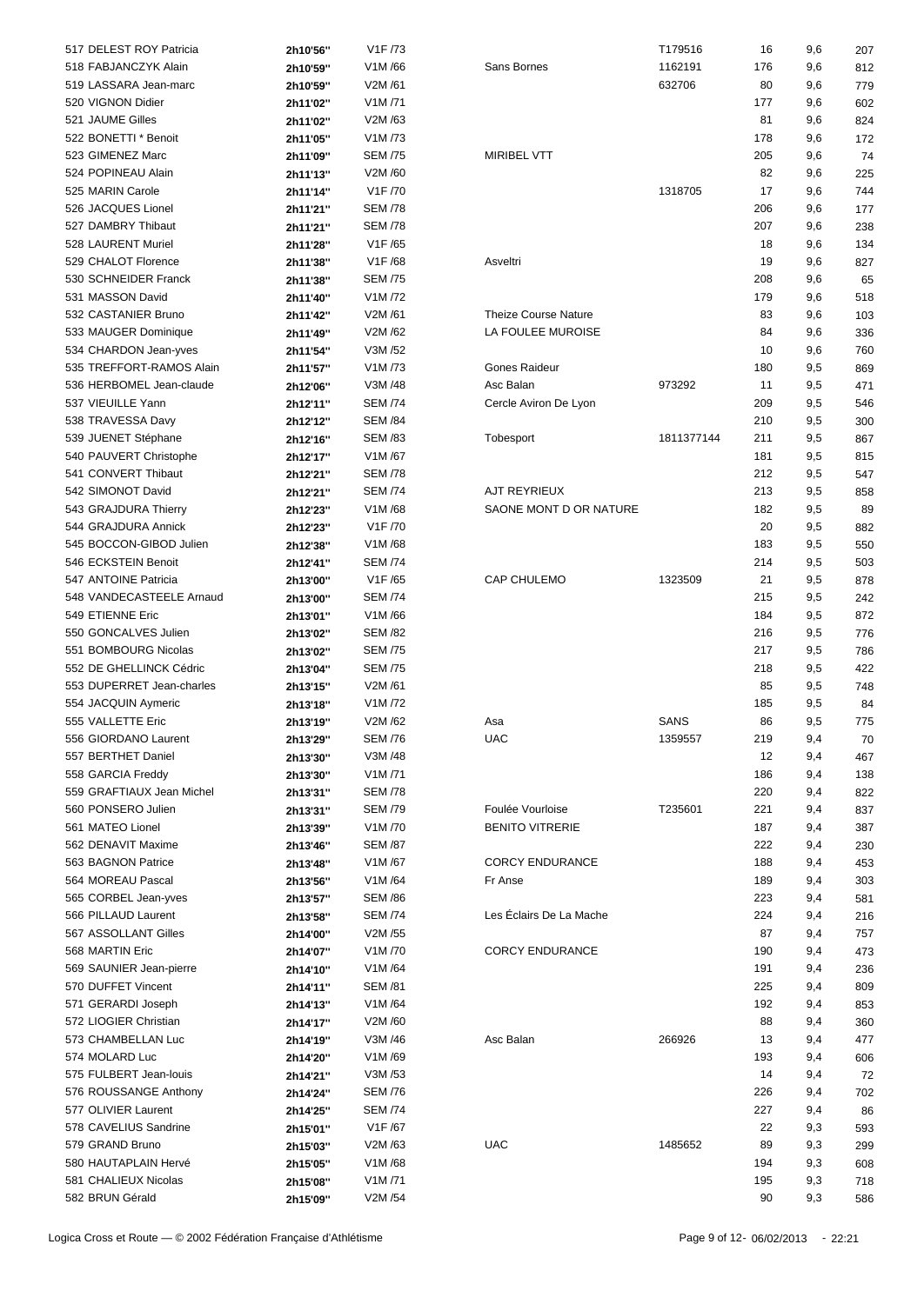| 517 DELEST ROY Patricia   | 2h10'56" | V1F /73                         |
|---------------------------|----------|---------------------------------|
| 518 FABJANCZYK Alain      | 2h10'59" | V1M/66                          |
| 519 LASSARA Jean-marc     | 2h10'59" | V2M /61                         |
| 520 VIGNON Didier         | 2h11'02" | V1M/71                          |
|                           |          |                                 |
| 521 JAUME Gilles          | 2h11'02" | V2M /63                         |
| 522 BONETTI * Benoit      | 2h11'05" | V1M /73                         |
| 523 GIMENEZ Marc          | 2h11'09" | <b>SEM /75</b>                  |
| 524 POPINEAU Alain        | 2h11'13" | V2M /60                         |
| 525 MARIN Carole          | 2h11'14" | V <sub>1</sub> F /70            |
| 526 JACQUES Lionel        | 2h11'21" | <b>SEM /78</b>                  |
| 527 DAMBRY Thibaut        | 2h11'21" | <b>SEM /78</b>                  |
|                           |          |                                 |
| 528 LAURENT Muriel        | 2h11'28" | V1F /65                         |
| 529 CHALOT Florence       | 2h11'38" | V1F/68                          |
| 530 SCHNEIDER Franck      | 2h11'38" | <b>SEM /75</b>                  |
| 531 MASSON David          | 2h11'40" | V1M /72                         |
| 532 CASTANIER Bruno       | 2h11'42" | V2M /61                         |
| 533 MAUGER Dominique      | 2h11'49" | V2M /62                         |
|                           |          | V3M /52                         |
| 534 CHARDON Jean-yves     | 2h11'54" |                                 |
| 535 TREFFORT-RAMOS Alain  | 2h11'57" | V <sub>1</sub> M <sub>/73</sub> |
| 536 HERBOMEL Jean-claude  | 2h12'06" | V3M /48                         |
| 537 VIEUILLE Yann         | 2h12'11" | <b>SEM /74</b>                  |
| 538 TRAVESSA Davy         | 2h12'12" | <b>SEM /84</b>                  |
| 539 JUENET Stéphane       | 2h12'16" | <b>SEM /83</b>                  |
| 540 PAUVERT Christophe    | 2h12'17" | V <sub>1</sub> M /67            |
| 541 CONVERT Thibaut       |          | <b>SEM /78</b>                  |
|                           | 2h12'21" |                                 |
| 542 SIMONOT David         | 2h12'21" | <b>SEM /74</b>                  |
| 543 GRAJDURA Thierry      | 2h12'23" | V1M/68                          |
| 544 GRAJDURA Annick       | 2h12'23" | V <sub>1</sub> F /70            |
| 545 BOCCON-GIBOD Julien   | 2h12'38" | V <sub>1</sub> M /68            |
| 546 ECKSTEIN Benoit       | 2h12'41" | <b>SEM /74</b>                  |
| 547 ANTOINE Patricia      | 2h13'00" | V1F /65                         |
| 548 VANDECASTEELE Arnaud  |          | <b>SEM /74</b>                  |
|                           | 2h13'00" |                                 |
| 549 ETIENNE Eric          | 2h13'01" | V1M/66                          |
| 550 GONCALVES Julien      | 2h13'02" | <b>SEM /82</b>                  |
| 551 BOMBOURG Nicolas      | 2h13'02" | <b>SEM /75</b>                  |
| 552 DE GHELLINCK Cédric   | 2h13'04" | <b>SEM /75</b>                  |
| 553 DUPERRET Jean-charles | 2h13'15" | V2M /61                         |
| 554 JACQUIN Aymeric       | 2h13'18" | V <sub>1</sub> M <sub>/72</sub> |
| 555 VALLETTE Eric         |          | V2M /62                         |
|                           | 2h13'19" |                                 |
| 556 GIORDANO Laurent      | 2h13'29" | <b>SEM /76</b>                  |
| 557 BERTHET Daniel        | 2h13'30" | V3M /48                         |
| 558 GARCIA Freddy         | 2h13'30" | V1M/71                          |
| 559 GRAFTIAUX Jean Michel | 2h13'31" | <b>SEM /78</b>                  |
| 560 PONSERO Julien        | 2h13'31" | <b>SEM /79</b>                  |
| 561 MATEO Lionel          | 2h13'39" | V <sub>1</sub> M /70            |
| 562 DENAVIT Maxime        | 2h13'46" | <b>SEM /87</b>                  |
|                           |          |                                 |
| 563 BAGNON Patrice        | 2h13'48" | V1M /67                         |
| 564 MOREAU Pascal         | 2h13'56" | V1M/64                          |
| 565 CORBEL Jean-yves      | 2h13'57" | <b>SEM /86</b>                  |
| 566 PILLAUD Laurent       | 2h13'58" | <b>SEM /74</b>                  |
| 567 ASSOLLANT Gilles      | 2h14'00" | V2M /55                         |
| 568 MARTIN Eric           | 2h14'07" | V1M /70                         |
| 569 SAUNIER Jean-pierre   | 2h14'10" | V1M/64                          |
| 570 DUFFET Vincent        |          | <b>SEM /81</b>                  |
|                           | 2h14'11" |                                 |
| 571 GERARDI Joseph        | 2h14'13" | V1M/64                          |
| 572 LIOGIER Christian     | 2h14'17" | V2M /60                         |
| 573 CHAMBELLAN Luc        | 2h14'19" | V3M /46                         |
| 574 MOLARD Luc            | 2h14'20" | V1M/69                          |
| 575 FULBERT Jean-louis    | 2h14'21" | V3M /53                         |
| 576 ROUSSANGE Anthony     | 2h14'24" | <b>SEM /76</b>                  |
| 577 OLIVIER Laurent       | 2h14'25" | <b>SEM /74</b>                  |
| 578 CAVELIUS Sandrine     |          | V <sub>1</sub> F /67            |
|                           | 2h15'01" |                                 |
| 579 GRAND Bruno           | 2h15'03" | V2M /63                         |
| 580 HAUTAPLAIN Hervé      | 2h15'05" | V1M/68                          |
| 581 CHALIEUX Nicolas      | 2h15'08" | V1M/71                          |
| 582 BRUN Gérald           | 2h15'09" | V2M /54                         |
|                           |          |                                 |

| 517 DELEST ROY Patricia   | 2h10'56" | V1F /73        |                             | T179516     | 16  | 9,6 | 207 |
|---------------------------|----------|----------------|-----------------------------|-------------|-----|-----|-----|
| 518 FABJANCZYK Alain      | 2h10'59" | V1M/66         | Sans Bornes                 | 1162191     | 176 | 9,6 | 812 |
| 519 LASSARA Jean-marc     | 2h10'59" | V2M/61         |                             | 632706      | 80  | 9,6 | 779 |
| 520 VIGNON Didier         |          | V1M/71         |                             |             | 177 | 9,6 |     |
|                           | 2h11'02" |                |                             |             |     |     | 602 |
| 521 JAUME Gilles          | 2h11'02" | V2M /63        |                             |             | 81  | 9,6 | 824 |
| 522 BONETTI * Benoit      | 2h11'05" | V1M /73        |                             |             | 178 | 9,6 | 172 |
| 523 GIMENEZ Marc          | 2h11'09" | <b>SEM /75</b> | <b>MIRIBEL VTT</b>          |             | 205 | 9,6 | 74  |
| 524 POPINEAU Alain        | 2h11'13" | V2M /60        |                             |             | 82  | 9,6 | 225 |
| 525 MARIN Carole          | 2h11'14" | V1F /70        |                             | 1318705     | 17  | 9,6 | 744 |
| 526 JACQUES Lionel        | 2h11'21" | <b>SEM /78</b> |                             |             | 206 | 9,6 | 177 |
| 527 DAMBRY Thibaut        | 2h11'21" | <b>SEM /78</b> |                             |             | 207 | 9,6 | 238 |
| 528 LAURENT Muriel        | 2h11'28" | V1F/65         |                             |             | 18  | 9,6 | 134 |
| 529 CHALOT Florence       | 2h11'38" | V1F/68         | Asveltri                    |             | 19  | 9,6 | 827 |
| 530 SCHNEIDER Franck      | 2h11'38" | <b>SEM /75</b> |                             |             | 208 | 9,6 | 65  |
| 531 MASSON David          |          | V1M /72        |                             |             | 179 |     |     |
|                           | 2h11'40" |                |                             |             |     | 9,6 | 518 |
| 532 CASTANIER Bruno       | 2h11'42" | V2M /61        | <b>Theize Course Nature</b> |             | 83  | 9,6 | 103 |
| 533 MAUGER Dominique      | 2h11'49" | V2M /62        | LA FOULEE MUROISE           |             | 84  | 9,6 | 336 |
| 534 CHARDON Jean-yves     | 2h11'54" | V3M /52        |                             |             | 10  | 9,6 | 760 |
| 535 TREFFORT-RAMOS Alain  | 2h11'57" | V1M /73        | <b>Gones Raideur</b>        |             | 180 | 9,5 | 869 |
| 536 HERBOMEL Jean-claude  | 2h12'06" | V3M /48        | Asc Balan                   | 973292      | 11  | 9,5 | 471 |
| 537 VIEUILLE Yann         | 2h12'11" | <b>SEM /74</b> | Cercle Aviron De Lyon       |             | 209 | 9,5 | 546 |
| 538 TRAVESSA Davy         | 2h12'12" | <b>SEM /84</b> |                             |             | 210 | 9,5 | 300 |
| 539 JUENET Stéphane       | 2h12'16" | <b>SEM /83</b> | Tobesport                   | 1811377144  | 211 | 9,5 | 867 |
| 540 PAUVERT Christophe    |          | V1M/67         |                             |             | 181 | 9,5 |     |
|                           | 2h12'17" |                |                             |             |     |     | 815 |
| 541 CONVERT Thibaut       | 2h12'21" | <b>SEM /78</b> |                             |             | 212 | 9,5 | 547 |
| 542 SIMONOT David         | 2h12'21" | <b>SEM /74</b> | AJT REYRIEUX                |             | 213 | 9,5 | 858 |
| 543 GRAJDURA Thierry      | 2h12'23" | V1M/68         | SAONE MONT D OR NATURE      |             | 182 | 9,5 | 89  |
| 544 GRAJDURA Annick       | 2h12'23" | V1F /70        |                             |             | 20  | 9,5 | 882 |
| 545 BOCCON-GIBOD Julien   | 2h12'38" | V1M/68         |                             |             | 183 | 9,5 | 550 |
| 546 ECKSTEIN Benoit       | 2h12'41" | <b>SEM /74</b> |                             |             | 214 | 9,5 | 503 |
| 547 ANTOINE Patricia      | 2h13'00" | V1F/65         | <b>CAP CHULEMO</b>          | 1323509     | 21  | 9,5 | 878 |
| 548 VANDECASTEELE Arnaud  | 2h13'00" | <b>SEM /74</b> |                             |             | 215 | 9,5 | 242 |
| 549 ETIENNE Eric          | 2h13'01" | V1M/66         |                             |             | 184 | 9,5 | 872 |
|                           |          |                |                             |             |     |     |     |
| 550 GONCALVES Julien      | 2h13'02" | <b>SEM /82</b> |                             |             | 216 | 9,5 | 776 |
| 551 BOMBOURG Nicolas      | 2h13'02" | <b>SEM /75</b> |                             |             | 217 | 9,5 | 786 |
| 552 DE GHELLINCK Cédric   | 2h13'04" | <b>SEM /75</b> |                             |             | 218 | 9,5 | 422 |
| 553 DUPERRET Jean-charles | 2h13'15" | V2M /61        |                             |             | 85  | 9,5 | 748 |
| 554 JACQUIN Aymeric       | 2h13'18" | V1M/72         |                             |             | 185 | 9,5 | 84  |
| 555 VALLETTE Eric         | 2h13'19" | V2M /62        | Asa                         | <b>SANS</b> | 86  | 9,5 | 775 |
| 556 GIORDANO Laurent      | 2h13'29" | <b>SEM /76</b> | <b>UAC</b>                  | 1359557     | 219 | 9,4 | 70  |
| 557 BERTHET Daniel        | 2h13'30" | V3M /48        |                             |             | 12  | 9,4 | 467 |
| 558 GARCIA Freddy         | 2h13'30" | V1M/71         |                             |             | 186 | 9,4 | 138 |
| 559 GRAFTIAUX Jean Michel |          | <b>SEM /78</b> |                             |             | 220 |     |     |
|                           | 2h13'31" |                |                             |             |     | 9,4 | 822 |
| 560 PONSERO Julien        | 2h13'31" | <b>SEM /79</b> | Foulée Vourloise            | T235601     | 221 | 9,4 | 837 |
| 561 MATEO Lionel          | 2h13'39" | V1M /70        | <b>BENITO VITRERIE</b>      |             | 187 | 9,4 | 387 |
| 562 DENAVIT Maxime        | 2h13'46" | <b>SEM /87</b> |                             |             | 222 | 9,4 | 230 |
| 563 BAGNON Patrice        | 2h13'48" | V1M/67         | <b>CORCY ENDURANCE</b>      |             | 188 | 9,4 | 453 |
| 564 MOREAU Pascal         | 2h13'56" | V1M/64         | Fr Anse                     |             | 189 | 9,4 | 303 |
| 565 CORBEL Jean-yves      | 2h13'57" | <b>SEM /86</b> |                             |             | 223 | 9,4 | 581 |
| 566 PILLAUD Laurent       | 2h13'58" | <b>SEM /74</b> | Les Éclairs De La Mache     |             | 224 | 9,4 | 216 |
| 567 ASSOLLANT Gilles      | 2h14'00" | V2M /55        |                             |             | 87  | 9,4 | 757 |
| 568 MARTIN Eric           | 2h14'07" | V1M /70        | <b>CORCY ENDURANCE</b>      |             | 190 | 9,4 | 473 |
| 569 SAUNIER Jean-pierre   |          | V1M/64         |                             |             | 191 | 9,4 | 236 |
|                           | 2h14'10" |                |                             |             |     |     |     |
| 570 DUFFET Vincent        | 2h14'11" | <b>SEM /81</b> |                             |             | 225 | 9,4 | 809 |
| 571 GERARDI Joseph        | 2h14'13" | V1M/64         |                             |             | 192 | 9,4 | 853 |
| 572 LIOGIER Christian     | 2h14'17" | V2M /60        |                             |             | 88  | 9,4 | 360 |
| 573 CHAMBELLAN Luc        | 2h14'19" | V3M /46        | Asc Balan                   | 266926      | 13  | 9,4 | 477 |
| 574 MOLARD Luc            | 2h14'20" | V1M/69         |                             |             | 193 | 9,4 | 606 |
| 575 FULBERT Jean-louis    | 2h14'21" | V3M /53        |                             |             | 14  | 9,4 | 72  |
| 576 ROUSSANGE Anthony     | 2h14'24" | <b>SEM /76</b> |                             |             | 226 | 9,4 | 702 |
| 577 OLIVIER Laurent       | 2h14'25" | <b>SEM /74</b> |                             |             | 227 | 9,4 | 86  |
| 578 CAVELIUS Sandrine     | 2h15'01" | V1F/67         |                             |             | 22  | 9,3 | 593 |
| 579 GRAND Bruno           |          | V2M /63        | <b>UAC</b>                  | 1485652     | 89  | 9,3 | 299 |
|                           | 2h15'03" |                |                             |             | 194 |     |     |
| 580 HAUTAPLAIN Hervé      | 2h15'05" | V1M/68         |                             |             |     | 9,3 | 608 |
| 581 CHALIEUX Nicolas      | 2h15'08" | V1M/71         |                             |             | 195 | 9,3 | 718 |
| 582 BRUN Gérald           | 2h15'09" | V2M /54        |                             |             | 90  | 9,3 | 586 |
|                           |          |                |                             |             |     |     |     |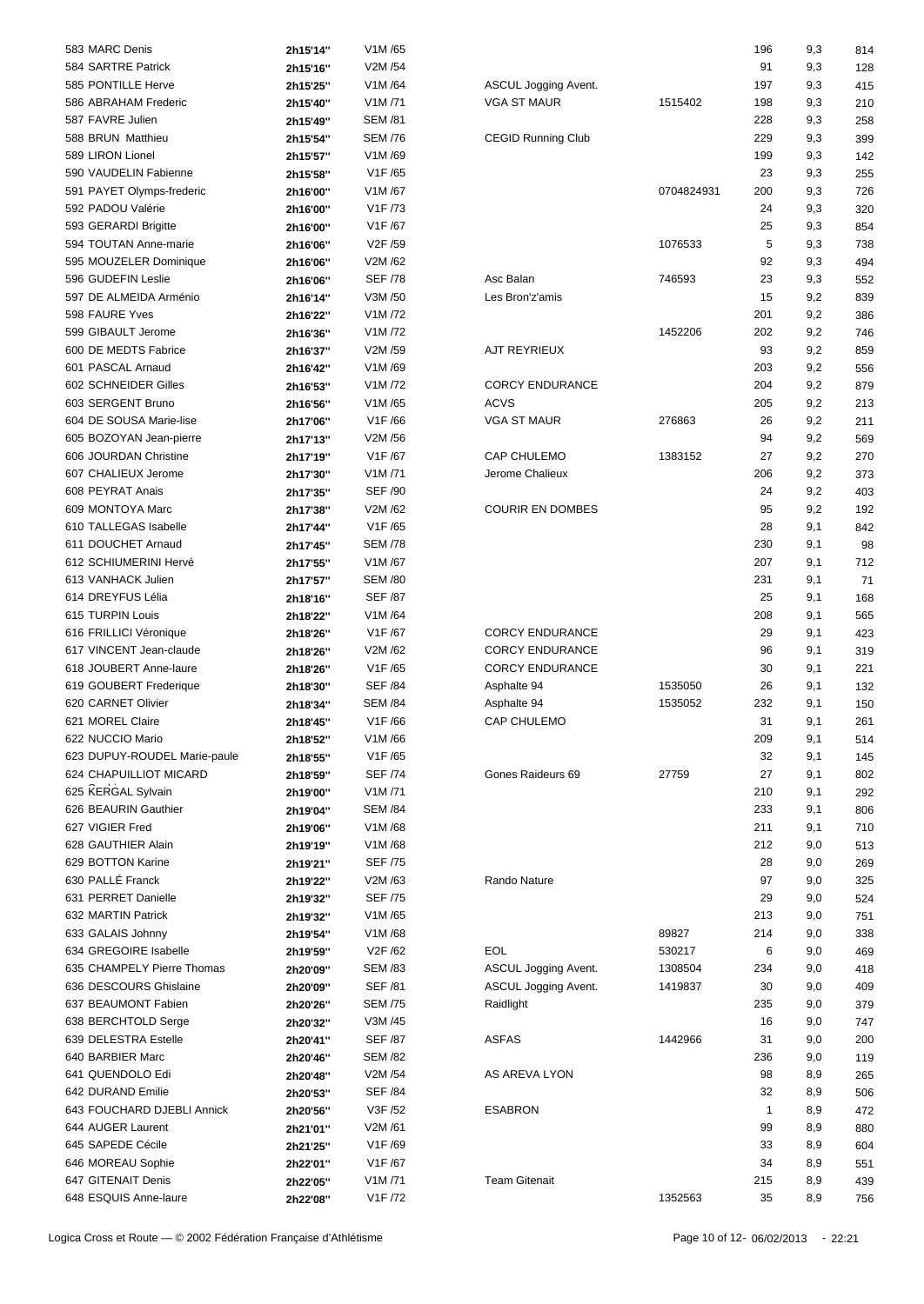| 583 MARC Denis               | 2h15'14" | V1M/65               |                           |            | 196          | 9,3 | 814 |
|------------------------------|----------|----------------------|---------------------------|------------|--------------|-----|-----|
| 584 SARTRE Patrick           | 2h15'16" | V2M /54              |                           |            | 91           | 9,3 | 128 |
| 585 PONTILLE Herve           |          | V1M/64               |                           |            | 197          | 9,3 | 415 |
|                              | 2h15'25" |                      | ASCUL Jogging Avent.      |            |              |     |     |
| 586 ABRAHAM Frederic         | 2h15'40" | V1M/71               | VGA ST MAUR               | 1515402    | 198          | 9,3 | 210 |
| 587 FAVRE Julien             | 2h15'49" | <b>SEM /81</b>       |                           |            | 228          | 9,3 | 258 |
| 588 BRUN Matthieu            | 2h15'54" | <b>SEM /76</b>       | <b>CEGID Running Club</b> |            | 229          | 9,3 | 399 |
| 589 LIRON Lionel             | 2h15'57" | V1M/69               |                           |            | 199          | 9,3 | 142 |
| 590 VAUDELIN Fabienne        | 2h15'58" | V1F /65              |                           |            | 23           | 9,3 | 255 |
| 591 PAYET Olymps-frederic    | 2h16'00" | V1M/67               |                           | 0704824931 | 200          | 9,3 | 726 |
| 592 PADOU Valérie            | 2h16'00" | V <sub>1</sub> F /73 |                           |            | 24           | 9,3 | 320 |
| 593 GERARDI Brigitte         | 2h16'00" | V1F /67              |                           |            | 25           | 9,3 | 854 |
| 594 TOUTAN Anne-marie        | 2h16'06" | V2F /59              |                           | 1076533    | 5            | 9,3 |     |
|                              |          |                      |                           |            |              |     | 738 |
| 595 MOUZELER Dominique       | 2h16'06" | V2M/62               |                           |            | 92           | 9,3 | 494 |
| 596 GUDEFIN Leslie           | 2h16'06" | <b>SEF /78</b>       | Asc Balan                 | 746593     | 23           | 9,3 | 552 |
| 597 DE ALMEIDA Arménio       | 2h16'14" | V3M /50              | Les Bron'z'amis           |            | 15           | 9,2 | 839 |
| 598 FAURE Yves               | 2h16'22" | V1M /72              |                           |            | 201          | 9,2 | 386 |
| 599 GIBAULT Jerome           | 2h16'36" | V1M/72               |                           | 1452206    | 202          | 9,2 | 746 |
| 600 DE MEDTS Fabrice         | 2h16'37" | V2M /59              | AJT REYRIEUX              |            | 93           | 9,2 | 859 |
| 601 PASCAL Arnaud            | 2h16'42" | V1M/69               |                           |            | 203          | 9,2 | 556 |
| 602 SCHNEIDER Gilles         | 2h16'53" | V1M/72               | <b>CORCY ENDURANCE</b>    |            | 204          | 9,2 | 879 |
| 603 SERGENT Bruno            |          | V1M/65               | <b>ACVS</b>               |            | 205          | 9,2 | 213 |
|                              | 2h16'56" |                      |                           |            |              |     |     |
| 604 DE SOUSA Marie-lise      | 2h17'06" | V1F/66               | <b>VGA ST MAUR</b>        | 276863     | 26           | 9,2 | 211 |
| 605 BOZOYAN Jean-pierre      | 2h17'13" | V2M /56              |                           |            | 94           | 9,2 | 569 |
| 606 JOURDAN Christine        | 2h17'19" | V1F/67               | CAP CHULEMO               | 1383152    | 27           | 9,2 | 270 |
| 607 CHALIEUX Jerome          | 2h17'30" | V1M/71               | Jerome Chalieux           |            | 206          | 9,2 | 373 |
| 608 PEYRAT Anais             | 2h17'35" | <b>SEF /90</b>       |                           |            | 24           | 9,2 | 403 |
| 609 MONTOYA Marc             | 2h17'38" | V2M /62              | <b>COURIR EN DOMBES</b>   |            | 95           | 9,2 | 192 |
| 610 TALLEGAS Isabelle        | 2h17'44" | V1F /65              |                           |            | 28           | 9,1 | 842 |
| 611 DOUCHET Arnaud           | 2h17'45" | <b>SEM /78</b>       |                           |            | 230          | 9,1 | 98  |
| 612 SCHIUMERINI Hervé        | 2h17'55" | V1M/67               |                           |            | 207          | 9,1 | 712 |
|                              |          |                      |                           |            |              |     |     |
| 613 VANHACK Julien           | 2h17'57" | <b>SEM /80</b>       |                           |            | 231          | 9,1 | 71  |
| 614 DREYFUS Lélia            | 2h18'16" | <b>SEF /87</b>       |                           |            | 25           | 9,1 | 168 |
| 615 TURPIN Louis             | 2h18'22" | V1M/64               |                           |            | 208          | 9,1 | 565 |
| 616 FRILLICI Véronique       | 2h18'26" | V1F/67               | <b>CORCY ENDURANCE</b>    |            | 29           | 9,1 | 423 |
| 617 VINCENT Jean-claude      | 2h18'26" | V2M/62               | <b>CORCY ENDURANCE</b>    |            | 96           | 9,1 | 319 |
| 618 JOUBERT Anne-laure       | 2h18'26" | V1F /65              | <b>CORCY ENDURANCE</b>    |            | 30           | 9,1 | 221 |
| 619 GOUBERT Frederique       | 2h18'30" | <b>SEF /84</b>       | Asphalte 94               | 1535050    | 26           | 9,1 | 132 |
| 620 CARNET Olivier           | 2h18'34" | <b>SEM /84</b>       | Asphalte 94               | 1535052    | 232          | 9,1 | 150 |
| 621 MOREL Claire             | 2h18'45" | V1F /66              | CAP CHULEMO               |            | 31           | 9,1 | 261 |
| 622 NUCCIO Mario             |          |                      |                           |            |              |     |     |
|                              | 2h18'52" | V1M/66               |                           |            | 209          | 9,1 | 514 |
| 623 DUPUY-ROUDEL Marie-paule | 2h18'55" | V1F /65              |                           |            | 32           | 9,1 | 145 |
| 624 CHAPUILLIOT MICARD       | 2h18'59" | <b>SEF /74</b>       | Gones Raideurs 69         | 27759      | 27           | 9,1 | 802 |
| 625 KERGAL Sylvain           | 2h19'00" | V1M/71               |                           |            | 210          | 9,1 | 292 |
| 626 BEAURIN Gauthier         | 2h19'04" | <b>SEM /84</b>       |                           |            | 233          | 9,1 | 806 |
| 627 VIGIER Fred              | 2h19'06" | V1M/68               |                           |            | 211          | 9,1 | 710 |
| 628 GAUTHIER Alain           | 2h19'19" | V1M/68               |                           |            | 212          | 9,0 | 513 |
| 629 BOTTON Karine            | 2h19'21" | <b>SEF /75</b>       |                           |            | 28           | 9,0 | 269 |
| 630 PALLÉ Franck             | 2h19'22" | V2M/63               | Rando Nature              |            | 97           | 9,0 | 325 |
| 631 PERRET Danielle          |          | <b>SEF /75</b>       |                           |            | 29           |     |     |
|                              | 2h19'32" |                      |                           |            |              | 9,0 | 524 |
| 632 MARTIN Patrick           | 2h19'32" | V1M/65               |                           |            | 213          | 9,0 | 751 |
| 633 GALAIS Johnny            | 2h19'54" | V1M/68               |                           | 89827      | 214          | 9,0 | 338 |
| 634 GREGOIRE Isabelle        | 2h19'59" | V2F /62              | EOL                       | 530217     | 6            | 9,0 | 469 |
| 635 CHAMPELY Pierre Thomas   | 2h20'09" | <b>SEM /83</b>       | ASCUL Jogging Avent.      | 1308504    | 234          | 9,0 | 418 |
| 636 DESCOURS Ghislaine       | 2h20'09" | <b>SEF /81</b>       | ASCUL Jogging Avent.      | 1419837    | 30           | 9,0 | 409 |
| 637 BEAUMONT Fabien          | 2h20'26" | <b>SEM /75</b>       | Raidlight                 |            | 235          | 9,0 | 379 |
| 638 BERCHTOLD Serge          | 2h20'32" | V3M /45              |                           |            | 16           | 9,0 | 747 |
| 639 DELESTRA Estelle         | 2h20'41" | <b>SEF /87</b>       | <b>ASFAS</b>              | 1442966    | 31           | 9,0 | 200 |
| 640 BARBIER Marc             |          | <b>SEM /82</b>       |                           |            | 236          |     |     |
|                              | 2h20'46" |                      |                           |            |              | 9,0 | 119 |
| 641 QUENDOLO Edi             | 2h20'48" | V2M /54              | AS AREVA LYON             |            | 98           | 8,9 | 265 |
| 642 DURAND Emilie            | 2h20'53" | <b>SEF /84</b>       |                           |            | 32           | 8,9 | 506 |
| 643 FOUCHARD DJEBLI Annick   | 2h20'56" | V3F /52              | <b>ESABRON</b>            |            | $\mathbf{1}$ | 8,9 | 472 |
| 644 AUGER Laurent            | 2h21'01" | V2M /61              |                           |            | 99           | 8,9 | 880 |
| 645 SAPEDE Cécile            | 2h21'25" | V1F /69              |                           |            | 33           | 8,9 | 604 |
| 646 MOREAU Sophie            | 2h22'01" | V1F /67              |                           |            | 34           | 8,9 | 551 |
| 647 GITENAIT Denis           | 2h22'05" | V1M/71               | <b>Team Gitenait</b>      |            | 215          | 8,9 | 439 |
| 648 ESQUIS Anne-laure        | 2h22'08" | V1F /72              |                           | 1352563    | 35           | 8,9 | 756 |
|                              |          |                      |                           |            |              |     |     |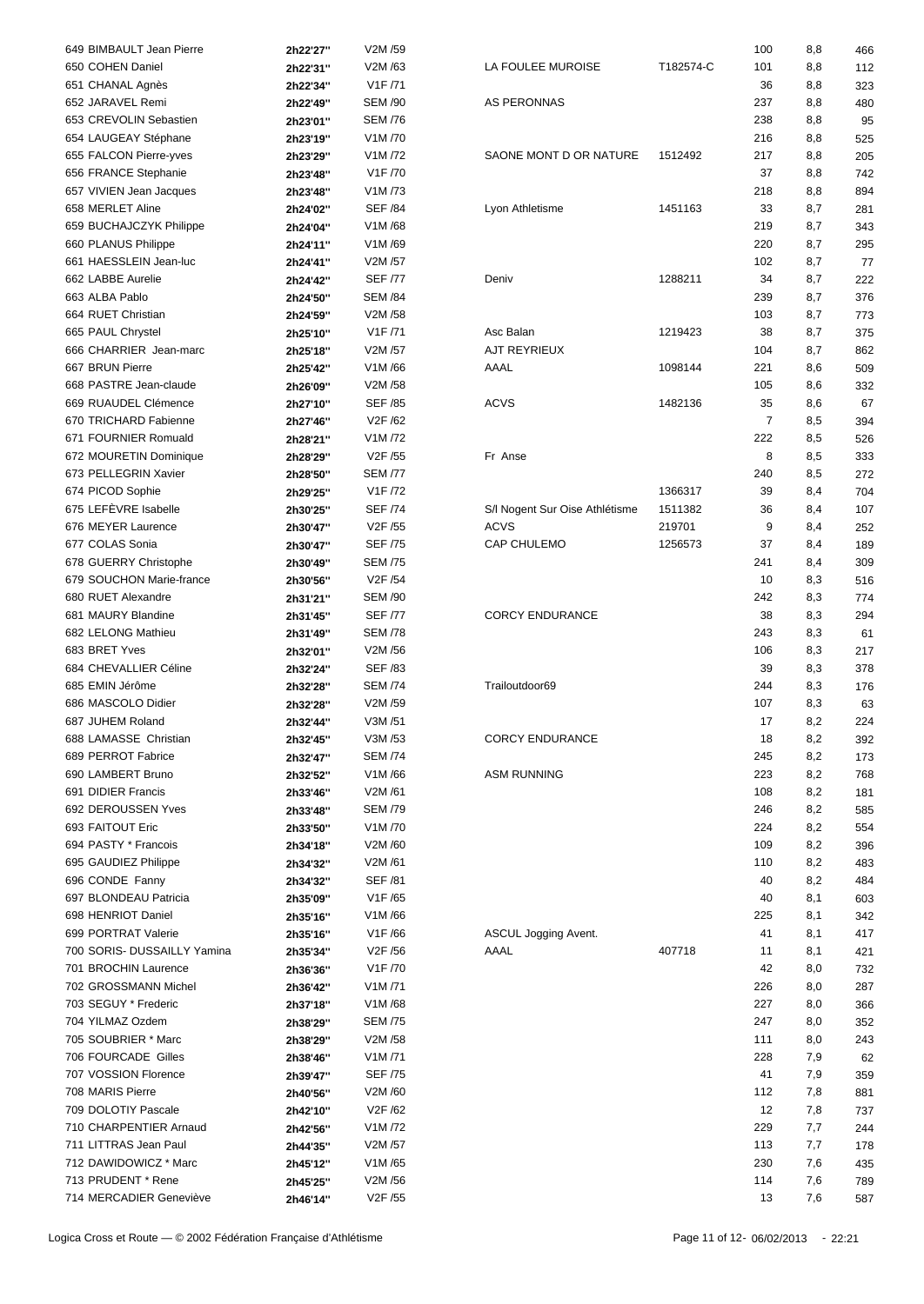| 649 BIMBAULT Jean Pierre    | 2h22'27" | V2M /59              |                                |           | 100            | 8,8 | 466 |
|-----------------------------|----------|----------------------|--------------------------------|-----------|----------------|-----|-----|
| 650 COHEN Daniel            | 2h22'31" | V2M/63               | LA FOULEE MUROISE              | T182574-C | 101            | 8,8 | 112 |
| 651 CHANAL Agnès            | 2h22'34" | V1F/71               |                                |           | 36             | 8,8 | 323 |
| 652 JARAVEL Remi            | 2h22'49" | <b>SEM /90</b>       | <b>AS PERONNAS</b>             |           | 237            | 8,8 | 480 |
| 653 CREVOLIN Sebastien      |          | <b>SEM /76</b>       |                                |           |                |     |     |
|                             | 2h23'01" |                      |                                |           | 238            | 8,8 | 95  |
| 654 LAUGEAY Stéphane        | 2h23'19" | V1M /70              |                                |           | 216            | 8,8 | 525 |
| 655 FALCON Pierre-yves      | 2h23'29" | V1M/72               | SAONE MONT D OR NATURE         | 1512492   | 217            | 8,8 | 205 |
| 656 FRANCE Stephanie        | 2h23'48" | V <sub>1</sub> F /70 |                                |           | 37             | 8,8 | 742 |
| 657 VIVIEN Jean Jacques     | 2h23'48" | V1M /73              |                                |           | 218            | 8,8 | 894 |
| 658 MERLET Aline            | 2h24'02" | <b>SEF /84</b>       | Lyon Athletisme                | 1451163   | 33             | 8,7 | 281 |
| 659 BUCHAJCZYK Philippe     | 2h24'04" | V1M/68               |                                |           | 219            | 8,7 | 343 |
| 660 PLANUS Philippe         | 2h24'11" | V1M/69               |                                |           | 220            | 8,7 | 295 |
| 661 HAESSLEIN Jean-luc      | 2h24'41" | V2M /57              |                                |           | 102            | 8,7 | 77  |
| 662 LABBE Aurelie           |          | <b>SEF /77</b>       | Deniv                          | 1288211   | 34             | 8,7 | 222 |
|                             | 2h24'42" |                      |                                |           |                |     |     |
| 663 ALBA Pablo              | 2h24'50" | <b>SEM /84</b>       |                                |           | 239            | 8,7 | 376 |
| 664 RUET Christian          | 2h24'59" | V2M /58              |                                |           | 103            | 8,7 | 773 |
| 665 PAUL Chrystel           | 2h25'10" | V <sub>1</sub> F /71 | Asc Balan                      | 1219423   | 38             | 8,7 | 375 |
| 666 CHARRIER Jean-marc      | 2h25'18" | V2M /57              | <b>AJT REYRIEUX</b>            |           | 104            | 8,7 | 862 |
| 667 BRUN Pierre             | 2h25'42" | V1M/66               | AAAL                           | 1098144   | 221            | 8,6 | 509 |
| 668 PASTRE Jean-claude      | 2h26'09" | V2M /58              |                                |           | 105            | 8,6 | 332 |
| 669 RUAUDEL Clémence        | 2h27'10" | <b>SEF /85</b>       | <b>ACVS</b>                    | 1482136   | 35             | 8,6 | 67  |
| 670 TRICHARD Fabienne       | 2h27'46" | V2F /62              |                                |           | $\overline{7}$ | 8,5 | 394 |
| 671 FOURNIER Romuald        | 2h28'21" | V1M/72               |                                |           | 222            | 8,5 | 526 |
|                             |          | V2F /55              | Fr Anse                        |           | 8              |     |     |
| 672 MOURETIN Dominique      | 2h28'29" |                      |                                |           |                | 8,5 | 333 |
| 673 PELLEGRIN Xavier        | 2h28'50" | <b>SEM /77</b>       |                                |           | 240            | 8,5 | 272 |
| 674 PICOD Sophie            | 2h29'25" | V1F /72              |                                | 1366317   | 39             | 8,4 | 704 |
| 675 LEFÈVRE Isabelle        | 2h30'25" | <b>SEF /74</b>       | S/I Nogent Sur Oise Athlétisme | 1511382   | 36             | 8,4 | 107 |
| 676 MEYER Laurence          | 2h30'47" | V2F /55              | <b>ACVS</b>                    | 219701    | 9              | 8,4 | 252 |
| 677 COLAS Sonia             | 2h30'47" | <b>SEF /75</b>       | CAP CHULEMO                    | 1256573   | 37             | 8,4 | 189 |
| 678 GUERRY Christophe       | 2h30'49" | <b>SEM /75</b>       |                                |           | 241            | 8,4 | 309 |
| 679 SOUCHON Marie-france    | 2h30'56" | V <sub>2</sub> F /54 |                                |           | 10             | 8,3 | 516 |
| 680 RUET Alexandre          | 2h31'21" | <b>SEM /90</b>       |                                |           | 242            | 8,3 | 774 |
| 681 MAURY Blandine          | 2h31'45" | <b>SEF /77</b>       | <b>CORCY ENDURANCE</b>         |           | 38             | 8,3 | 294 |
|                             |          |                      |                                |           |                |     |     |
| 682 LELONG Mathieu          | 2h31'49" | <b>SEM /78</b>       |                                |           | 243            | 8,3 | 61  |
| 683 BRET Yves               | 2h32'01" | V2M /56              |                                |           | 106            | 8,3 | 217 |
| 684 CHEVALLIER Céline       | 2h32'24" | <b>SEF /83</b>       |                                |           | 39             | 8,3 | 378 |
| 685 EMIN Jérôme             | 2h32'28" | <b>SEM /74</b>       | Trailoutdoor69                 |           | 244            | 8,3 | 176 |
| 686 MASCOLO Didier          | 2h32'28" | V2M /59              |                                |           | 107            | 8,3 | 63  |
| 687 JUHEM Roland            | 2h32'44" | V3M /51              |                                |           | 17             | 8,2 | 224 |
| 688 LAMASSE Christian       | 2h32'45" | V3M /53              | <b>CORCY ENDURANCE</b>         |           | 18             | 8,2 | 392 |
| 689 PERROT Fabrice          | 2h32'47" | <b>SEM /74</b>       |                                |           | 245            | 8,2 | 173 |
| 690 LAMBERT Bruno           | 2h32'52" | V1M/66               | <b>ASM RUNNING</b>             |           | 223            | 8,2 | 768 |
| 691 DIDIER Francis          |          | V2M/61               |                                |           |                |     |     |
|                             | 2h33'46" |                      |                                |           | 108            | 8,2 | 181 |
| 692 DEROUSSEN Yves          | 2h33'48" | <b>SEM /79</b>       |                                |           | 246            | 8,2 | 585 |
| 693 FAITOUT Eric            | 2h33'50" | V1M/70               |                                |           | 224            | 8,2 | 554 |
| 694 PASTY * Francois        | 2h34'18" | V2M /60              |                                |           | 109            | 8,2 | 396 |
| 695 GAUDIEZ Philippe        | 2h34'32" | V2M/61               |                                |           | 110            | 8,2 | 483 |
| 696 CONDE Fanny             | 2h34'32" | <b>SEF /81</b>       |                                |           | 40             | 8,2 | 484 |
| 697 BLONDEAU Patricia       | 2h35'09" | V1F/65               |                                |           | 40             | 8,1 | 603 |
| 698 HENRIOT Daniel          | 2h35'16" | V1M/66               |                                |           | 225            | 8,1 | 342 |
| 699 PORTRAT Valerie         | 2h35'16" | V1F/66               | ASCUL Jogging Avent.           |           | 41             | 8,1 | 417 |
| 700 SORIS- DUSSAILLY Yamina | 2h35'34" | V2F /56              | AAAL                           | 407718    | 11             | 8,1 | 421 |
|                             |          |                      |                                |           |                |     |     |
| 701 BROCHIN Laurence        | 2h36'36" | V1F /70              |                                |           | 42             | 8,0 | 732 |
| 702 GROSSMANN Michel        | 2h36'42" | V1M/71               |                                |           | 226            | 8,0 | 287 |
| 703 SEGUY * Frederic        | 2h37'18" | V1M/68               |                                |           | 227            | 8,0 | 366 |
| 704 YILMAZ Ozdem            | 2h38'29" | <b>SEM /75</b>       |                                |           | 247            | 8,0 | 352 |
| 705 SOUBRIER * Marc         | 2h38'29" | V2M /58              |                                |           | 111            | 8,0 | 243 |
| 706 FOURCADE Gilles         | 2h38'46" | V1M/71               |                                |           | 228            | 7,9 | 62  |
| 707 VOSSION Florence        | 2h39'47" | <b>SEF /75</b>       |                                |           | 41             | 7,9 | 359 |
| 708 MARIS Pierre            | 2h40'56" | V2M /60              |                                |           | 112            | 7,8 | 881 |
| 709 DOLOTIY Pascale         | 2h42'10" | V2F /62              |                                |           | 12             | 7,8 | 737 |
|                             |          | V1M/72               |                                |           |                |     |     |
| 710 CHARPENTIER Arnaud      | 2h42'56" |                      |                                |           | 229            | 7,7 | 244 |
| 711 LITTRAS Jean Paul       | 2h44'35" | V2M /57              |                                |           | 113            | 7,7 | 178 |
| 712 DAWIDOWICZ * Marc       | 2h45'12" | V1M/65               |                                |           | 230            | 7,6 | 435 |
| 713 PRUDENT * Rene          | 2h45'25" | V2M /56              |                                |           | 114            | 7,6 | 789 |
| 714 MERCADIER Geneviève     | 2h46'14" | V2F /55              |                                |           | 13             | 7,6 | 587 |

|         |           | 100 | 8,8 | 466 |
|---------|-----------|-----|-----|-----|
|         | T182574-C | 101 | 8,8 | 112 |
|         |           | 36  | 8,8 | 323 |
|         |           | 237 | 8,8 | 480 |
|         |           | 238 | 8,8 | 95  |
|         |           | 216 | 8,8 | 525 |
| ATURE   | 1512492   | 217 | 8,8 | 205 |
|         |           | 37  | 8,8 | 742 |
|         |           | 218 | 8,8 | 894 |
|         | 1451163   | 33  | 8,7 | 281 |
|         |           | 219 | 8,7 | 343 |
|         |           | 220 | 8,7 | 295 |
|         |           | 102 | 8,7 | 77  |
|         | 1288211   | 34  | 8,7 | 222 |
|         |           | 239 | 8,7 |     |
|         |           |     |     | 376 |
|         |           | 103 | 8,7 | 773 |
|         | 1219423   | 38  | 8,7 | 375 |
|         |           | 104 | 8,7 | 862 |
|         | 1098144   | 221 | 8,6 | 509 |
|         |           | 105 | 8,6 | 332 |
|         | 1482136   | 35  | 8,6 | 67  |
|         |           | 7   | 8,5 | 394 |
|         |           | 222 | 8,5 | 526 |
|         |           | 8   | 8,5 | 333 |
|         |           | 240 | 8,5 | 272 |
|         | 1366317   | 39  | 8,4 | 704 |
| létisme | 1511382   | 36  | 8,4 | 107 |
|         | 219701    | 9   | 8,4 | 252 |
|         | 1256573   | 37  | 8,4 | 189 |
|         |           | 241 | 8,4 | 309 |
|         |           | 10  | 8,3 | 516 |
|         |           | 242 | 8,3 | 774 |
|         |           | 38  | 8,3 | 294 |
|         |           | 243 | 8,3 | 61  |
|         |           | 106 | 8,3 | 217 |
|         |           | 39  | 8,3 | 378 |
|         |           | 244 | 8,3 | 176 |
|         |           | 107 | 8,3 | 63  |
|         |           | 17  | 8,2 | 224 |
|         |           | 18  | 8,2 | 392 |
|         |           | 245 | 8,2 | 173 |
|         |           | 223 | 8,2 | 768 |
|         |           | 108 | 8,2 | 181 |
|         |           | 246 | 8,2 | 585 |
|         |           | 224 | 8,2 | 554 |
|         |           | 109 | 8,2 | 396 |
|         |           | 110 | 8,2 | 483 |
|         |           | 40  | 8,2 | 484 |
|         |           | 40  | 8,1 | 603 |
|         |           | 225 | 8,1 | 342 |
|         |           | 41  | 8,1 | 417 |
|         | 407718    | 11  | 8,1 | 421 |
|         |           | 42  | 8,0 | 732 |
|         |           | 226 | 8,0 | 287 |
|         |           | 227 | 8,0 | 366 |
|         |           | 247 | 8,0 | 352 |
|         |           | 111 | 8,0 | 243 |
|         |           | 228 | 7,9 | 62  |
|         |           | 41  | 7,9 | 359 |
|         |           | 112 | 7,8 | 881 |
|         |           | 12  | 7,8 | 737 |
|         |           | 229 | 7,7 | 244 |
|         |           | 113 | 7,7 | 178 |
|         |           | 230 | 7,6 | 435 |
|         |           | 114 | 7,6 | 789 |
|         |           | 13  | 7,6 | 587 |
|         |           |     |     |     |
|         |           |     |     |     |